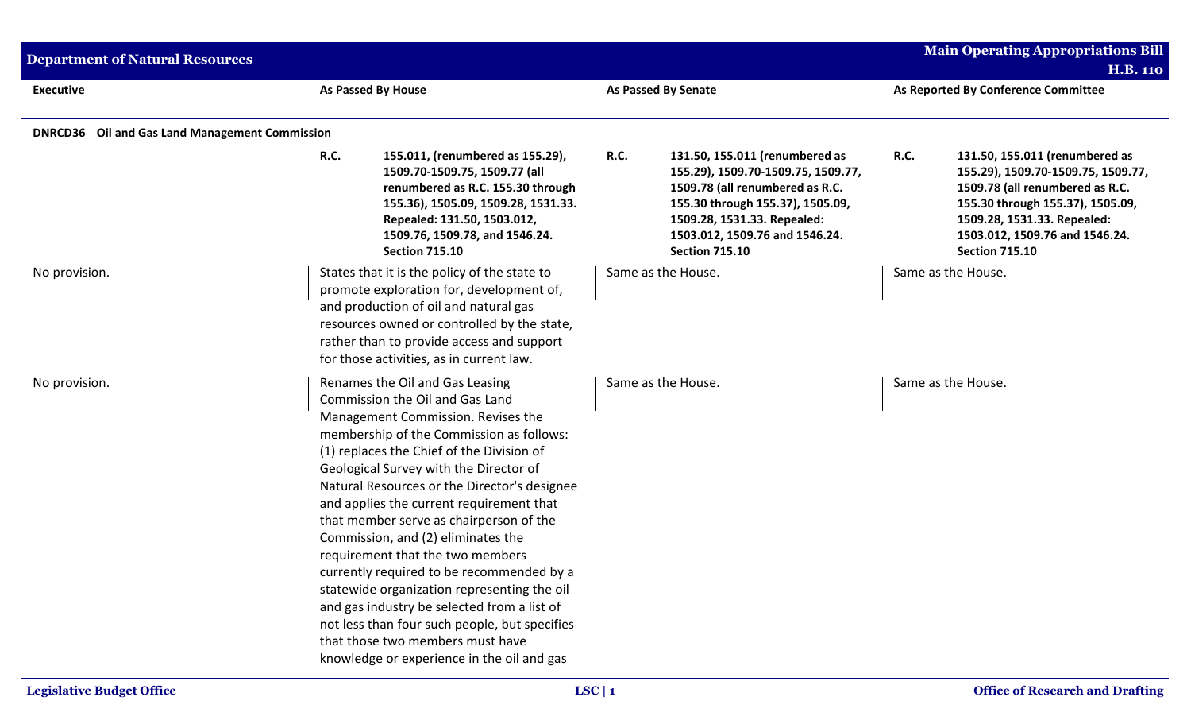| <b>Department of Natural Resources</b>                |             |                                                                                                                                                                                                                                                                                                                                                                                                                                                                                                                                                                                                                                                                                                                                            |             |                                                                                                                                                                                                                                       |             | <b>Main Operating Appropriations Bill</b><br><b>H.B. 110</b>                                                                                                                                                                          |
|-------------------------------------------------------|-------------|--------------------------------------------------------------------------------------------------------------------------------------------------------------------------------------------------------------------------------------------------------------------------------------------------------------------------------------------------------------------------------------------------------------------------------------------------------------------------------------------------------------------------------------------------------------------------------------------------------------------------------------------------------------------------------------------------------------------------------------------|-------------|---------------------------------------------------------------------------------------------------------------------------------------------------------------------------------------------------------------------------------------|-------------|---------------------------------------------------------------------------------------------------------------------------------------------------------------------------------------------------------------------------------------|
| <b>Executive</b>                                      |             | <b>As Passed By House</b>                                                                                                                                                                                                                                                                                                                                                                                                                                                                                                                                                                                                                                                                                                                  |             | <b>As Passed By Senate</b>                                                                                                                                                                                                            |             | As Reported By Conference Committee                                                                                                                                                                                                   |
| <b>DNRCD36</b> Oil and Gas Land Management Commission |             |                                                                                                                                                                                                                                                                                                                                                                                                                                                                                                                                                                                                                                                                                                                                            |             |                                                                                                                                                                                                                                       |             |                                                                                                                                                                                                                                       |
|                                                       | <b>R.C.</b> | 155.011, (renumbered as 155.29),<br>1509.70-1509.75, 1509.77 (all<br>renumbered as R.C. 155.30 through<br>155.36), 1505.09, 1509.28, 1531.33.<br>Repealed: 131.50, 1503.012,<br>1509.76, 1509.78, and 1546.24.<br><b>Section 715.10</b>                                                                                                                                                                                                                                                                                                                                                                                                                                                                                                    | <b>R.C.</b> | 131.50, 155.011 (renumbered as<br>155.29), 1509.70-1509.75, 1509.77,<br>1509.78 (all renumbered as R.C.<br>155.30 through 155.37), 1505.09,<br>1509.28, 1531.33. Repealed:<br>1503.012, 1509.76 and 1546.24.<br><b>Section 715.10</b> | <b>R.C.</b> | 131.50, 155.011 (renumbered as<br>155.29), 1509.70-1509.75, 1509.77,<br>1509.78 (all renumbered as R.C.<br>155.30 through 155.37), 1505.09,<br>1509.28, 1531.33. Repealed:<br>1503.012, 1509.76 and 1546.24.<br><b>Section 715.10</b> |
| No provision.                                         |             | States that it is the policy of the state to<br>promote exploration for, development of,<br>and production of oil and natural gas<br>resources owned or controlled by the state,<br>rather than to provide access and support<br>for those activities, as in current law.                                                                                                                                                                                                                                                                                                                                                                                                                                                                  |             | Same as the House.                                                                                                                                                                                                                    |             | Same as the House.                                                                                                                                                                                                                    |
| No provision.                                         |             | Renames the Oil and Gas Leasing<br>Commission the Oil and Gas Land<br>Management Commission. Revises the<br>membership of the Commission as follows:<br>(1) replaces the Chief of the Division of<br>Geological Survey with the Director of<br>Natural Resources or the Director's designee<br>and applies the current requirement that<br>that member serve as chairperson of the<br>Commission, and (2) eliminates the<br>requirement that the two members<br>currently required to be recommended by a<br>statewide organization representing the oil<br>and gas industry be selected from a list of<br>not less than four such people, but specifies<br>that those two members must have<br>knowledge or experience in the oil and gas |             | Same as the House.                                                                                                                                                                                                                    |             | Same as the House.                                                                                                                                                                                                                    |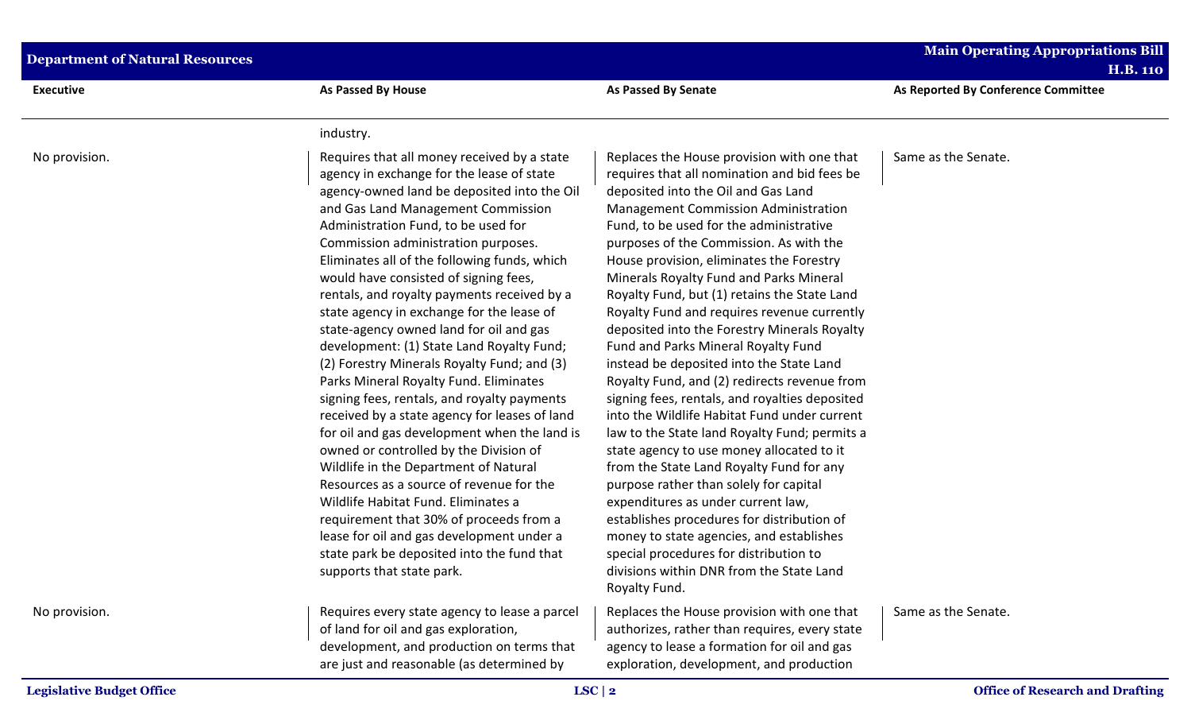| <b>Department of Natural Resources</b> |                                                                                                                                                                                                                                                                                                                                                                                                                                                                                                                                                                                                                                                                                                                                                                                                                                                                                                                                                                                                                                                                                                                            |                                                                                                                                                                                                                                                                                                                                                                                                                                                                                                                                                                                                                                                                                                                                                                                                                                                                                                                                                                                                                                                                                                                                                                       | <b>Main Operating Appropriations Bill</b> |  |
|----------------------------------------|----------------------------------------------------------------------------------------------------------------------------------------------------------------------------------------------------------------------------------------------------------------------------------------------------------------------------------------------------------------------------------------------------------------------------------------------------------------------------------------------------------------------------------------------------------------------------------------------------------------------------------------------------------------------------------------------------------------------------------------------------------------------------------------------------------------------------------------------------------------------------------------------------------------------------------------------------------------------------------------------------------------------------------------------------------------------------------------------------------------------------|-----------------------------------------------------------------------------------------------------------------------------------------------------------------------------------------------------------------------------------------------------------------------------------------------------------------------------------------------------------------------------------------------------------------------------------------------------------------------------------------------------------------------------------------------------------------------------------------------------------------------------------------------------------------------------------------------------------------------------------------------------------------------------------------------------------------------------------------------------------------------------------------------------------------------------------------------------------------------------------------------------------------------------------------------------------------------------------------------------------------------------------------------------------------------|-------------------------------------------|--|
|                                        |                                                                                                                                                                                                                                                                                                                                                                                                                                                                                                                                                                                                                                                                                                                                                                                                                                                                                                                                                                                                                                                                                                                            |                                                                                                                                                                                                                                                                                                                                                                                                                                                                                                                                                                                                                                                                                                                                                                                                                                                                                                                                                                                                                                                                                                                                                                       | <b>H.B. 110</b>                           |  |
| <b>Executive</b>                       | <b>As Passed By House</b>                                                                                                                                                                                                                                                                                                                                                                                                                                                                                                                                                                                                                                                                                                                                                                                                                                                                                                                                                                                                                                                                                                  | <b>As Passed By Senate</b>                                                                                                                                                                                                                                                                                                                                                                                                                                                                                                                                                                                                                                                                                                                                                                                                                                                                                                                                                                                                                                                                                                                                            | As Reported By Conference Committee       |  |
|                                        | industry.                                                                                                                                                                                                                                                                                                                                                                                                                                                                                                                                                                                                                                                                                                                                                                                                                                                                                                                                                                                                                                                                                                                  |                                                                                                                                                                                                                                                                                                                                                                                                                                                                                                                                                                                                                                                                                                                                                                                                                                                                                                                                                                                                                                                                                                                                                                       |                                           |  |
| No provision.                          | Requires that all money received by a state<br>agency in exchange for the lease of state<br>agency-owned land be deposited into the Oil<br>and Gas Land Management Commission<br>Administration Fund, to be used for<br>Commission administration purposes.<br>Eliminates all of the following funds, which<br>would have consisted of signing fees,<br>rentals, and royalty payments received by a<br>state agency in exchange for the lease of<br>state-agency owned land for oil and gas<br>development: (1) State Land Royalty Fund;<br>(2) Forestry Minerals Royalty Fund; and (3)<br>Parks Mineral Royalty Fund. Eliminates<br>signing fees, rentals, and royalty payments<br>received by a state agency for leases of land<br>for oil and gas development when the land is<br>owned or controlled by the Division of<br>Wildlife in the Department of Natural<br>Resources as a source of revenue for the<br>Wildlife Habitat Fund. Eliminates a<br>requirement that 30% of proceeds from a<br>lease for oil and gas development under a<br>state park be deposited into the fund that<br>supports that state park. | Replaces the House provision with one that<br>requires that all nomination and bid fees be<br>deposited into the Oil and Gas Land<br>Management Commission Administration<br>Fund, to be used for the administrative<br>purposes of the Commission. As with the<br>House provision, eliminates the Forestry<br>Minerals Royalty Fund and Parks Mineral<br>Royalty Fund, but (1) retains the State Land<br>Royalty Fund and requires revenue currently<br>deposited into the Forestry Minerals Royalty<br>Fund and Parks Mineral Royalty Fund<br>instead be deposited into the State Land<br>Royalty Fund, and (2) redirects revenue from<br>signing fees, rentals, and royalties deposited<br>into the Wildlife Habitat Fund under current<br>law to the State land Royalty Fund; permits a<br>state agency to use money allocated to it<br>from the State Land Royalty Fund for any<br>purpose rather than solely for capital<br>expenditures as under current law,<br>establishes procedures for distribution of<br>money to state agencies, and establishes<br>special procedures for distribution to<br>divisions within DNR from the State Land<br>Royalty Fund. | Same as the Senate.                       |  |
| No provision.                          | Requires every state agency to lease a parcel<br>of land for oil and gas exploration,<br>development, and production on terms that<br>are just and reasonable (as determined by                                                                                                                                                                                                                                                                                                                                                                                                                                                                                                                                                                                                                                                                                                                                                                                                                                                                                                                                            | Replaces the House provision with one that<br>authorizes, rather than requires, every state<br>agency to lease a formation for oil and gas<br>exploration, development, and production                                                                                                                                                                                                                                                                                                                                                                                                                                                                                                                                                                                                                                                                                                                                                                                                                                                                                                                                                                                | Same as the Senate.                       |  |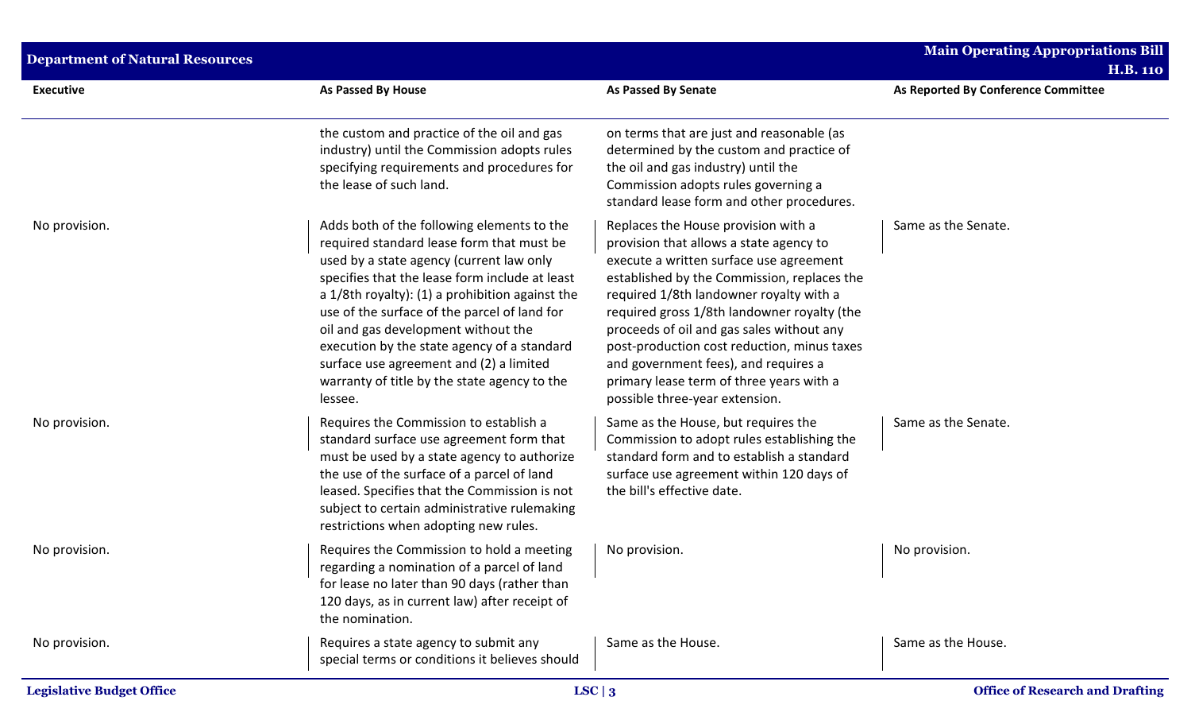| <b>Department of Natural Resources</b> |                                                                                                                                                                                                                                                                                                                                                                                                                                                                                      |                                                                                                                                                                                                                                                                                                                                                                                                                                                                                      | Main Operating Appropriations Bill<br><b>H.B. 110</b> |
|----------------------------------------|--------------------------------------------------------------------------------------------------------------------------------------------------------------------------------------------------------------------------------------------------------------------------------------------------------------------------------------------------------------------------------------------------------------------------------------------------------------------------------------|--------------------------------------------------------------------------------------------------------------------------------------------------------------------------------------------------------------------------------------------------------------------------------------------------------------------------------------------------------------------------------------------------------------------------------------------------------------------------------------|-------------------------------------------------------|
| <b>Executive</b>                       | As Passed By House                                                                                                                                                                                                                                                                                                                                                                                                                                                                   | <b>As Passed By Senate</b>                                                                                                                                                                                                                                                                                                                                                                                                                                                           | As Reported By Conference Committee                   |
|                                        | the custom and practice of the oil and gas<br>industry) until the Commission adopts rules<br>specifying requirements and procedures for<br>the lease of such land.                                                                                                                                                                                                                                                                                                                   | on terms that are just and reasonable (as<br>determined by the custom and practice of<br>the oil and gas industry) until the<br>Commission adopts rules governing a<br>standard lease form and other procedures.                                                                                                                                                                                                                                                                     |                                                       |
| No provision.                          | Adds both of the following elements to the<br>required standard lease form that must be<br>used by a state agency (current law only<br>specifies that the lease form include at least<br>a 1/8th royalty): (1) a prohibition against the<br>use of the surface of the parcel of land for<br>oil and gas development without the<br>execution by the state agency of a standard<br>surface use agreement and (2) a limited<br>warranty of title by the state agency to the<br>lessee. | Replaces the House provision with a<br>provision that allows a state agency to<br>execute a written surface use agreement<br>established by the Commission, replaces the<br>required 1/8th landowner royalty with a<br>required gross 1/8th landowner royalty (the<br>proceeds of oil and gas sales without any<br>post-production cost reduction, minus taxes<br>and government fees), and requires a<br>primary lease term of three years with a<br>possible three-year extension. | Same as the Senate.                                   |
| No provision.                          | Requires the Commission to establish a<br>standard surface use agreement form that<br>must be used by a state agency to authorize<br>the use of the surface of a parcel of land<br>leased. Specifies that the Commission is not<br>subject to certain administrative rulemaking<br>restrictions when adopting new rules.                                                                                                                                                             | Same as the House, but requires the<br>Commission to adopt rules establishing the<br>standard form and to establish a standard<br>surface use agreement within 120 days of<br>the bill's effective date.                                                                                                                                                                                                                                                                             | Same as the Senate.                                   |
| No provision.                          | Requires the Commission to hold a meeting<br>regarding a nomination of a parcel of land<br>for lease no later than 90 days (rather than<br>120 days, as in current law) after receipt of<br>the nomination.                                                                                                                                                                                                                                                                          | No provision.                                                                                                                                                                                                                                                                                                                                                                                                                                                                        | No provision.                                         |
| No provision.                          | Requires a state agency to submit any<br>special terms or conditions it believes should                                                                                                                                                                                                                                                                                                                                                                                              | Same as the House.                                                                                                                                                                                                                                                                                                                                                                                                                                                                   | Same as the House.                                    |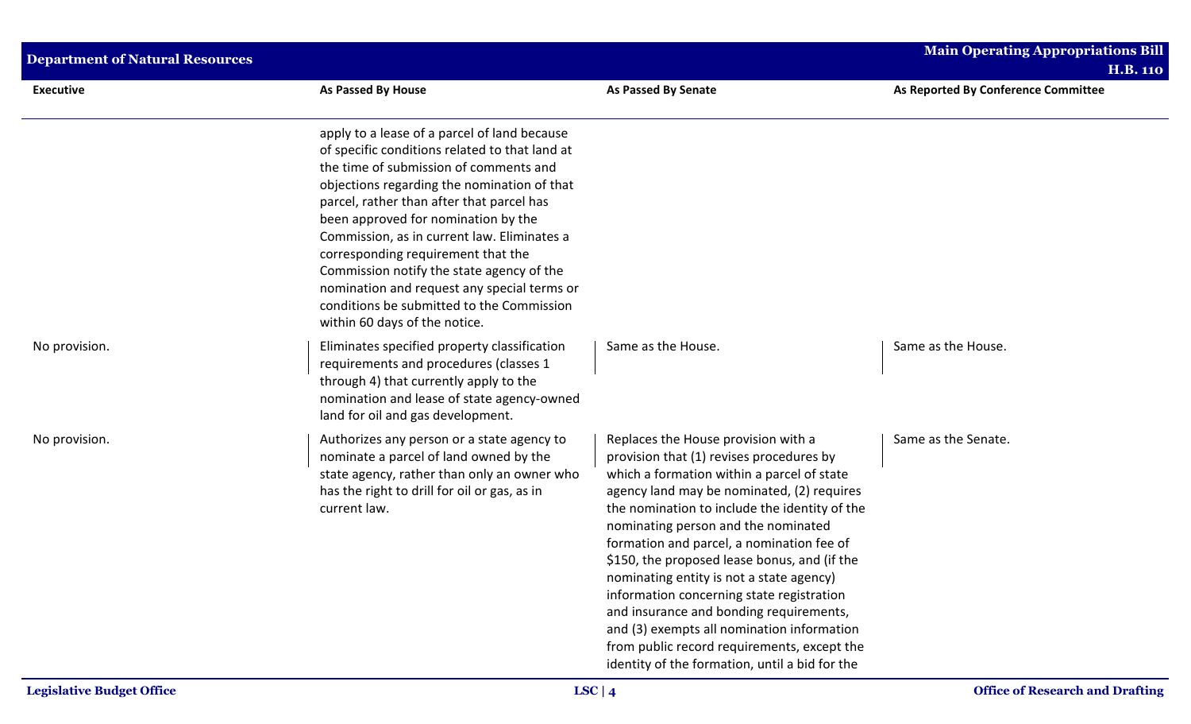| <b>Department of Natural Resources</b> |                                                                                                                                                                                                                                                                                                                                                                                                                                                                                                                                            |                                                                                                                                                                                                                                                                                                                                                                                                                                                                                                                                                                                                                                                     | <b>Main Operating Appropriations Bill</b> |  |
|----------------------------------------|--------------------------------------------------------------------------------------------------------------------------------------------------------------------------------------------------------------------------------------------------------------------------------------------------------------------------------------------------------------------------------------------------------------------------------------------------------------------------------------------------------------------------------------------|-----------------------------------------------------------------------------------------------------------------------------------------------------------------------------------------------------------------------------------------------------------------------------------------------------------------------------------------------------------------------------------------------------------------------------------------------------------------------------------------------------------------------------------------------------------------------------------------------------------------------------------------------------|-------------------------------------------|--|
|                                        |                                                                                                                                                                                                                                                                                                                                                                                                                                                                                                                                            |                                                                                                                                                                                                                                                                                                                                                                                                                                                                                                                                                                                                                                                     | <b>H.B. 110</b>                           |  |
| <b>Executive</b>                       | As Passed By House                                                                                                                                                                                                                                                                                                                                                                                                                                                                                                                         | <b>As Passed By Senate</b>                                                                                                                                                                                                                                                                                                                                                                                                                                                                                                                                                                                                                          | As Reported By Conference Committee       |  |
|                                        | apply to a lease of a parcel of land because<br>of specific conditions related to that land at<br>the time of submission of comments and<br>objections regarding the nomination of that<br>parcel, rather than after that parcel has<br>been approved for nomination by the<br>Commission, as in current law. Eliminates a<br>corresponding requirement that the<br>Commission notify the state agency of the<br>nomination and request any special terms or<br>conditions be submitted to the Commission<br>within 60 days of the notice. |                                                                                                                                                                                                                                                                                                                                                                                                                                                                                                                                                                                                                                                     |                                           |  |
| No provision.                          | Eliminates specified property classification<br>requirements and procedures (classes 1<br>through 4) that currently apply to the<br>nomination and lease of state agency-owned<br>land for oil and gas development.                                                                                                                                                                                                                                                                                                                        | Same as the House.                                                                                                                                                                                                                                                                                                                                                                                                                                                                                                                                                                                                                                  | Same as the House.                        |  |
| No provision.                          | Authorizes any person or a state agency to<br>nominate a parcel of land owned by the<br>state agency, rather than only an owner who<br>has the right to drill for oil or gas, as in<br>current law.                                                                                                                                                                                                                                                                                                                                        | Replaces the House provision with a<br>provision that (1) revises procedures by<br>which a formation within a parcel of state<br>agency land may be nominated, (2) requires<br>the nomination to include the identity of the<br>nominating person and the nominated<br>formation and parcel, a nomination fee of<br>\$150, the proposed lease bonus, and (if the<br>nominating entity is not a state agency)<br>information concerning state registration<br>and insurance and bonding requirements,<br>and (3) exempts all nomination information<br>from public record requirements, except the<br>identity of the formation, until a bid for the | Same as the Senate.                       |  |
| <b>Legislative Budget Office</b>       |                                                                                                                                                                                                                                                                                                                                                                                                                                                                                                                                            | LSC   $4$                                                                                                                                                                                                                                                                                                                                                                                                                                                                                                                                                                                                                                           | <b>Office of Research and Drafting</b>    |  |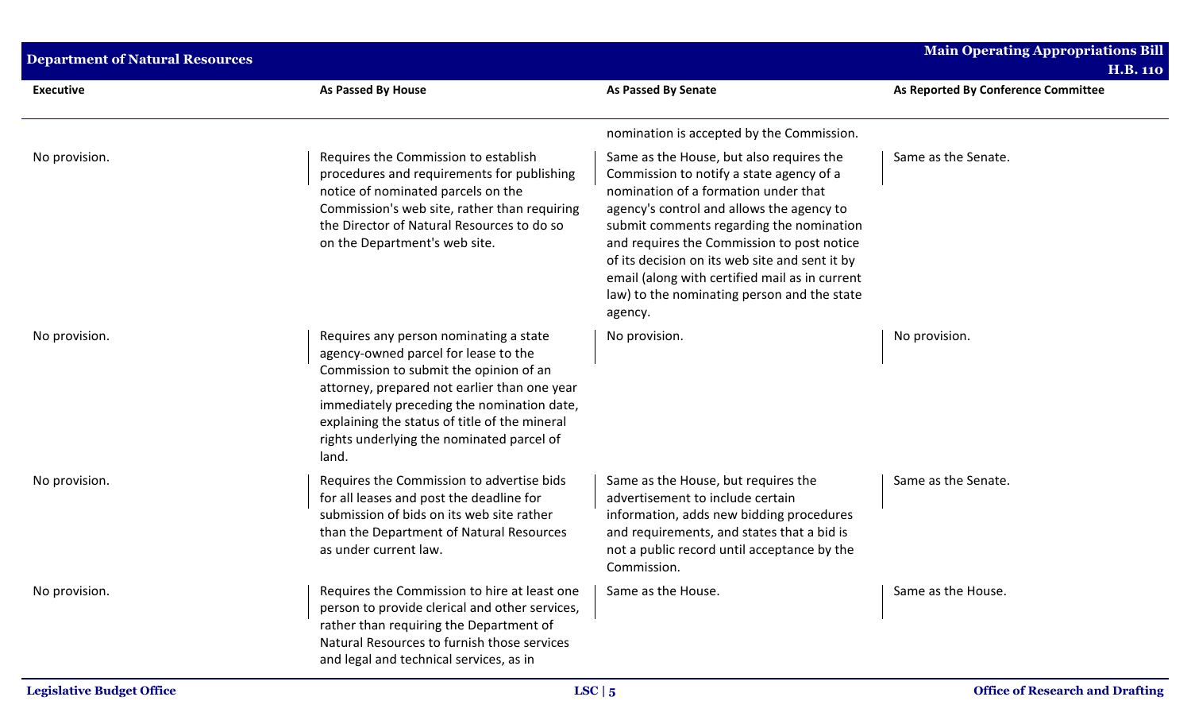| <b>Department of Natural Resources</b> |                                                                                                                                                                                                                                                                                                                               |                                                                                                                                                                                                                                                                                                                                                                                                                                   | <b>Main Operating Appropriations Bill</b><br><b>H.B. 110</b> |
|----------------------------------------|-------------------------------------------------------------------------------------------------------------------------------------------------------------------------------------------------------------------------------------------------------------------------------------------------------------------------------|-----------------------------------------------------------------------------------------------------------------------------------------------------------------------------------------------------------------------------------------------------------------------------------------------------------------------------------------------------------------------------------------------------------------------------------|--------------------------------------------------------------|
| <b>Executive</b>                       | <b>As Passed By House</b>                                                                                                                                                                                                                                                                                                     | <b>As Passed By Senate</b>                                                                                                                                                                                                                                                                                                                                                                                                        | As Reported By Conference Committee                          |
|                                        |                                                                                                                                                                                                                                                                                                                               | nomination is accepted by the Commission.                                                                                                                                                                                                                                                                                                                                                                                         |                                                              |
| No provision.                          | Requires the Commission to establish<br>procedures and requirements for publishing<br>notice of nominated parcels on the<br>Commission's web site, rather than requiring<br>the Director of Natural Resources to do so<br>on the Department's web site.                                                                       | Same as the House, but also requires the<br>Commission to notify a state agency of a<br>nomination of a formation under that<br>agency's control and allows the agency to<br>submit comments regarding the nomination<br>and requires the Commission to post notice<br>of its decision on its web site and sent it by<br>email (along with certified mail as in current<br>law) to the nominating person and the state<br>agency. | Same as the Senate.                                          |
| No provision.                          | Requires any person nominating a state<br>agency-owned parcel for lease to the<br>Commission to submit the opinion of an<br>attorney, prepared not earlier than one year<br>immediately preceding the nomination date,<br>explaining the status of title of the mineral<br>rights underlying the nominated parcel of<br>land. | No provision.                                                                                                                                                                                                                                                                                                                                                                                                                     | No provision.                                                |
| No provision.                          | Requires the Commission to advertise bids<br>for all leases and post the deadline for<br>submission of bids on its web site rather<br>than the Department of Natural Resources<br>as under current law.                                                                                                                       | Same as the House, but requires the<br>advertisement to include certain<br>information, adds new bidding procedures<br>and requirements, and states that a bid is<br>not a public record until acceptance by the<br>Commission.                                                                                                                                                                                                   | Same as the Senate.                                          |
| No provision.                          | Requires the Commission to hire at least one<br>person to provide clerical and other services,<br>rather than requiring the Department of<br>Natural Resources to furnish those services<br>and legal and technical services, as in                                                                                           | Same as the House.                                                                                                                                                                                                                                                                                                                                                                                                                | Same as the House.                                           |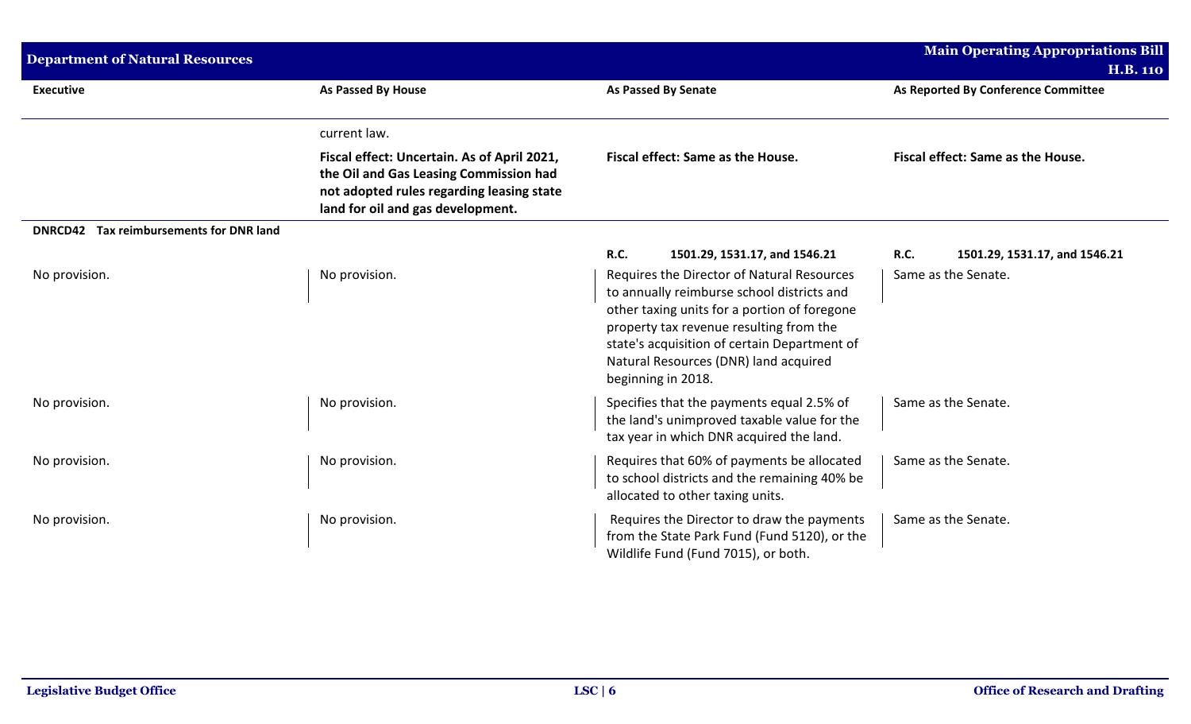| <b>Department of Natural Resources</b>  |                                                                                                                                                                         |                                                                                                                                                                                                                                                                                                    | <b>Main Operating Appropriations Bill</b><br><b>H.B. 110</b> |
|-----------------------------------------|-------------------------------------------------------------------------------------------------------------------------------------------------------------------------|----------------------------------------------------------------------------------------------------------------------------------------------------------------------------------------------------------------------------------------------------------------------------------------------------|--------------------------------------------------------------|
| <b>Executive</b>                        | As Passed By House                                                                                                                                                      | <b>As Passed By Senate</b>                                                                                                                                                                                                                                                                         | As Reported By Conference Committee                          |
|                                         | current law.                                                                                                                                                            |                                                                                                                                                                                                                                                                                                    |                                                              |
|                                         | Fiscal effect: Uncertain. As of April 2021,<br>the Oil and Gas Leasing Commission had<br>not adopted rules regarding leasing state<br>land for oil and gas development. | Fiscal effect: Same as the House.                                                                                                                                                                                                                                                                  | Fiscal effect: Same as the House.                            |
| DNRCD42 Tax reimbursements for DNR land |                                                                                                                                                                         |                                                                                                                                                                                                                                                                                                    |                                                              |
|                                         |                                                                                                                                                                         | R.C.<br>1501.29, 1531.17, and 1546.21                                                                                                                                                                                                                                                              | <b>R.C.</b><br>1501.29, 1531.17, and 1546.21                 |
| No provision.                           | No provision.                                                                                                                                                           | Requires the Director of Natural Resources<br>to annually reimburse school districts and<br>other taxing units for a portion of foregone<br>property tax revenue resulting from the<br>state's acquisition of certain Department of<br>Natural Resources (DNR) land acquired<br>beginning in 2018. | Same as the Senate.                                          |
| No provision.                           | No provision.                                                                                                                                                           | Specifies that the payments equal 2.5% of<br>the land's unimproved taxable value for the<br>tax year in which DNR acquired the land.                                                                                                                                                               | Same as the Senate.                                          |
| No provision.                           | No provision.                                                                                                                                                           | Requires that 60% of payments be allocated<br>to school districts and the remaining 40% be<br>allocated to other taxing units.                                                                                                                                                                     | Same as the Senate.                                          |
| No provision.                           | No provision.                                                                                                                                                           | Requires the Director to draw the payments<br>from the State Park Fund (Fund 5120), or the<br>Wildlife Fund (Fund 7015), or both.                                                                                                                                                                  | Same as the Senate.                                          |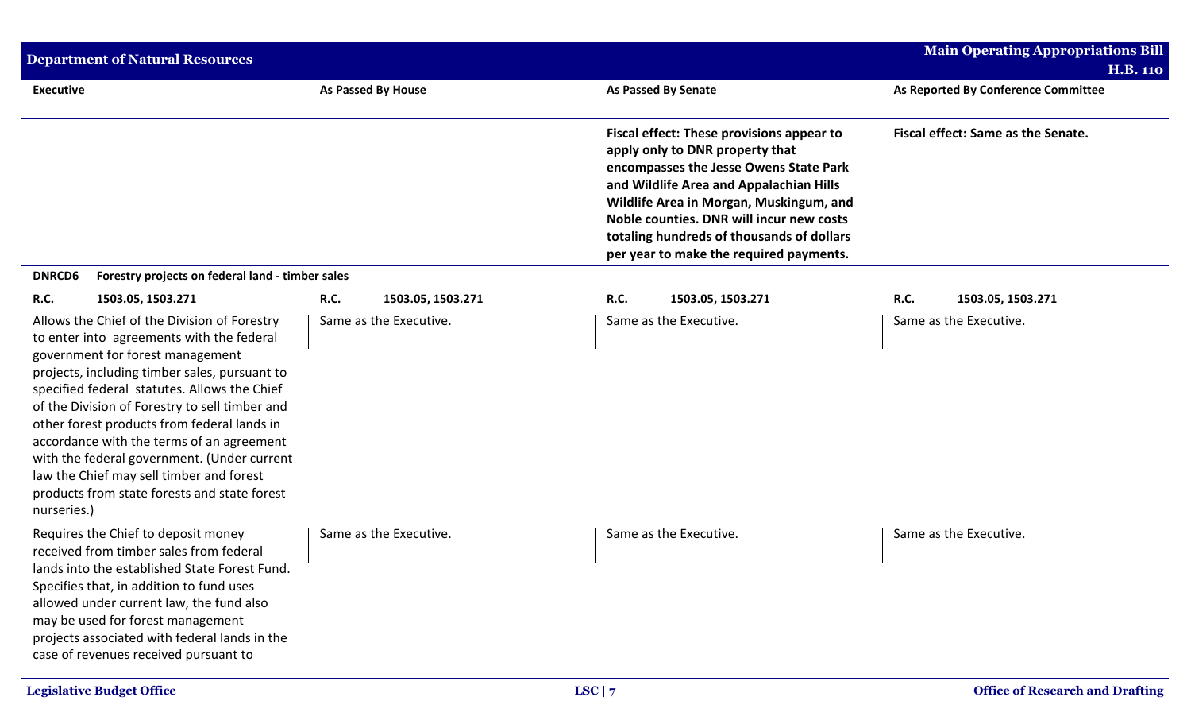| <b>Department of Natural Resources</b>                                                                                                                                                                                                                                                                                                                                                                                                                                                                                                 |                                  |                                                                                                                                                                                                                                                                                                                                                  | <b>Main Operating Appropriations Bill</b><br><b>H.B. 110</b> |
|----------------------------------------------------------------------------------------------------------------------------------------------------------------------------------------------------------------------------------------------------------------------------------------------------------------------------------------------------------------------------------------------------------------------------------------------------------------------------------------------------------------------------------------|----------------------------------|--------------------------------------------------------------------------------------------------------------------------------------------------------------------------------------------------------------------------------------------------------------------------------------------------------------------------------------------------|--------------------------------------------------------------|
| <b>Executive</b>                                                                                                                                                                                                                                                                                                                                                                                                                                                                                                                       | <b>As Passed By House</b>        | <b>As Passed By Senate</b>                                                                                                                                                                                                                                                                                                                       | As Reported By Conference Committee                          |
|                                                                                                                                                                                                                                                                                                                                                                                                                                                                                                                                        |                                  | Fiscal effect: These provisions appear to<br>apply only to DNR property that<br>encompasses the Jesse Owens State Park<br>and Wildlife Area and Appalachian Hills<br>Wildlife Area in Morgan, Muskingum, and<br>Noble counties. DNR will incur new costs<br>totaling hundreds of thousands of dollars<br>per year to make the required payments. | Fiscal effect: Same as the Senate.                           |
| <b>DNRCD6</b><br>Forestry projects on federal land - timber sales                                                                                                                                                                                                                                                                                                                                                                                                                                                                      |                                  |                                                                                                                                                                                                                                                                                                                                                  |                                                              |
| <b>R.C.</b><br>1503.05, 1503.271                                                                                                                                                                                                                                                                                                                                                                                                                                                                                                       | <b>R.C.</b><br>1503.05, 1503.271 | <b>R.C.</b><br>1503.05, 1503.271                                                                                                                                                                                                                                                                                                                 | <b>R.C.</b><br>1503.05, 1503.271                             |
| Allows the Chief of the Division of Forestry<br>to enter into agreements with the federal<br>government for forest management<br>projects, including timber sales, pursuant to<br>specified federal statutes. Allows the Chief<br>of the Division of Forestry to sell timber and<br>other forest products from federal lands in<br>accordance with the terms of an agreement<br>with the federal government. (Under current<br>law the Chief may sell timber and forest<br>products from state forests and state forest<br>nurseries.) | Same as the Executive.           | Same as the Executive.                                                                                                                                                                                                                                                                                                                           | Same as the Executive.                                       |
| Requires the Chief to deposit money<br>received from timber sales from federal<br>lands into the established State Forest Fund.<br>Specifies that, in addition to fund uses<br>allowed under current law, the fund also<br>may be used for forest management<br>projects associated with federal lands in the<br>case of revenues received pursuant to                                                                                                                                                                                 | Same as the Executive.           | Same as the Executive.                                                                                                                                                                                                                                                                                                                           | Same as the Executive.                                       |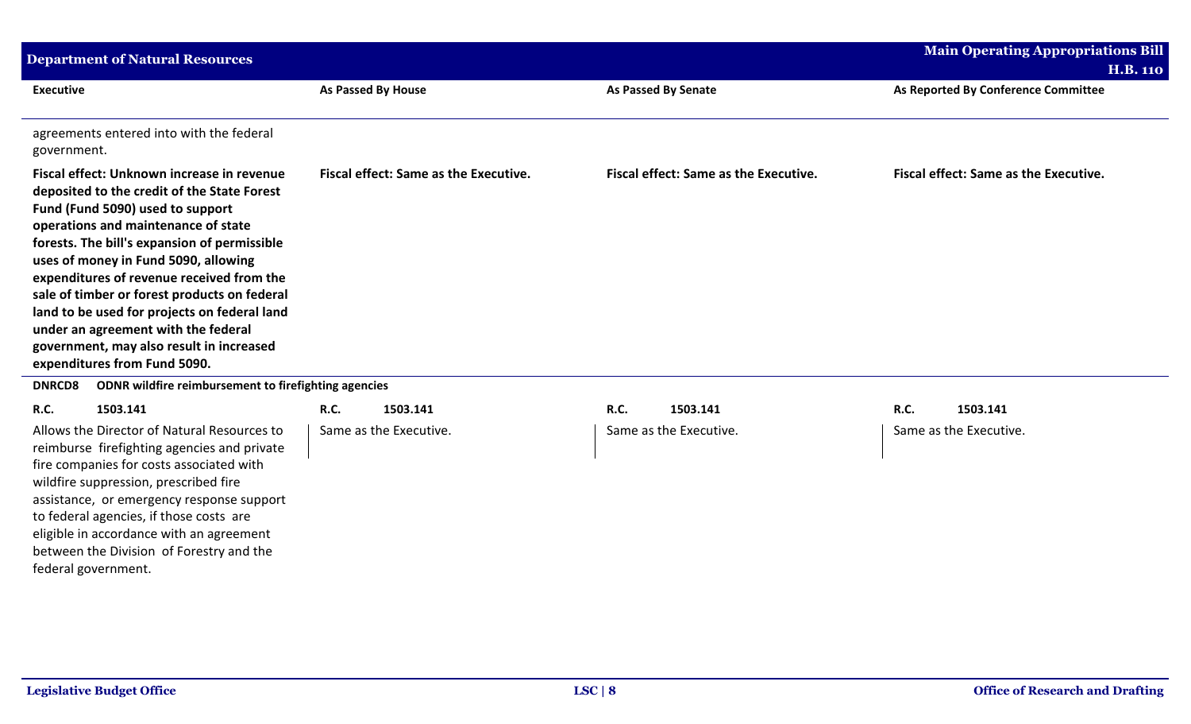| <b>Department of Natural Resources</b>                                                                                                                                                                                                                                                                                                                                                                                                                                                                                       |                                                   |                                              | <b>Main Operating Appropriations Bill</b><br><b>H.B. 110</b> |
|------------------------------------------------------------------------------------------------------------------------------------------------------------------------------------------------------------------------------------------------------------------------------------------------------------------------------------------------------------------------------------------------------------------------------------------------------------------------------------------------------------------------------|---------------------------------------------------|----------------------------------------------|--------------------------------------------------------------|
| <b>Executive</b>                                                                                                                                                                                                                                                                                                                                                                                                                                                                                                             | <b>As Passed By House</b>                         | <b>As Passed By Senate</b>                   | As Reported By Conference Committee                          |
| agreements entered into with the federal<br>government.                                                                                                                                                                                                                                                                                                                                                                                                                                                                      |                                                   |                                              |                                                              |
| Fiscal effect: Unknown increase in revenue<br>deposited to the credit of the State Forest<br>Fund (Fund 5090) used to support<br>operations and maintenance of state<br>forests. The bill's expansion of permissible<br>uses of money in Fund 5090, allowing<br>expenditures of revenue received from the<br>sale of timber or forest products on federal<br>land to be used for projects on federal land<br>under an agreement with the federal<br>government, may also result in increased<br>expenditures from Fund 5090. | <b>Fiscal effect: Same as the Executive.</b>      | <b>Fiscal effect: Same as the Executive.</b> | <b>Fiscal effect: Same as the Executive.</b>                 |
| ODNR wildfire reimbursement to firefighting agencies<br><b>DNRCD8</b>                                                                                                                                                                                                                                                                                                                                                                                                                                                        |                                                   |                                              |                                                              |
| <b>R.C.</b><br>1503.141<br>Allows the Director of Natural Resources to<br>reimburse firefighting agencies and private<br>fire companies for costs associated with<br>wildfire suppression, prescribed fire<br>assistance, or emergency response support<br>to federal agencies, if those costs are<br>eligible in accordance with an agreement<br>between the Division of Forestry and the<br>federal government.                                                                                                            | <b>R.C.</b><br>1503.141<br>Same as the Executive. | R.C.<br>1503.141<br>Same as the Executive.   | R.C.<br>1503.141<br>Same as the Executive.                   |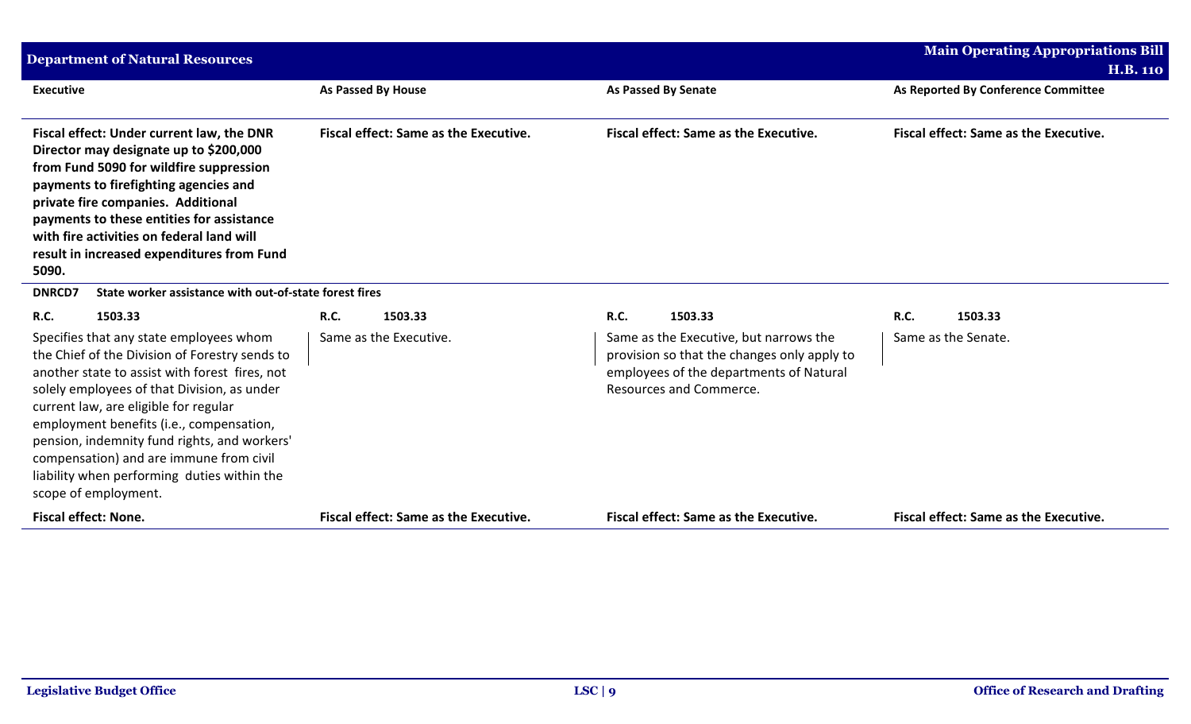| <b>Department of Natural Resources</b>                                                                                                                                                                                                                                                                                                                                                                                                            |                                              |                                                                                                                                                             | <b>Main Operating Appropriations Bill</b>    |
|---------------------------------------------------------------------------------------------------------------------------------------------------------------------------------------------------------------------------------------------------------------------------------------------------------------------------------------------------------------------------------------------------------------------------------------------------|----------------------------------------------|-------------------------------------------------------------------------------------------------------------------------------------------------------------|----------------------------------------------|
|                                                                                                                                                                                                                                                                                                                                                                                                                                                   |                                              |                                                                                                                                                             | <b>H.B. 110</b>                              |
| <b>Executive</b>                                                                                                                                                                                                                                                                                                                                                                                                                                  | As Passed By House                           | <b>As Passed By Senate</b>                                                                                                                                  | As Reported By Conference Committee          |
| Fiscal effect: Under current law, the DNR<br>Director may designate up to \$200,000<br>from Fund 5090 for wildfire suppression<br>payments to firefighting agencies and<br>private fire companies. Additional<br>payments to these entities for assistance<br>with fire activities on federal land will<br>result in increased expenditures from Fund<br>5090.                                                                                    | <b>Fiscal effect: Same as the Executive.</b> | <b>Fiscal effect: Same as the Executive.</b>                                                                                                                | <b>Fiscal effect: Same as the Executive.</b> |
| State worker assistance with out-of-state forest fires<br><b>DNRCD7</b>                                                                                                                                                                                                                                                                                                                                                                           |                                              |                                                                                                                                                             |                                              |
| R.C.<br>1503.33                                                                                                                                                                                                                                                                                                                                                                                                                                   | R.C.<br>1503.33                              | <b>R.C.</b><br>1503.33                                                                                                                                      | <b>R.C.</b><br>1503.33                       |
| Specifies that any state employees whom<br>the Chief of the Division of Forestry sends to<br>another state to assist with forest fires, not<br>solely employees of that Division, as under<br>current law, are eligible for regular<br>employment benefits (i.e., compensation,<br>pension, indemnity fund rights, and workers'<br>compensation) and are immune from civil<br>liability when performing duties within the<br>scope of employment. | Same as the Executive.                       | Same as the Executive, but narrows the<br>provision so that the changes only apply to<br>employees of the departments of Natural<br>Resources and Commerce. | Same as the Senate.                          |
| <b>Fiscal effect: None.</b>                                                                                                                                                                                                                                                                                                                                                                                                                       | <b>Fiscal effect: Same as the Executive.</b> | <b>Fiscal effect: Same as the Executive.</b>                                                                                                                | <b>Fiscal effect: Same as the Executive.</b> |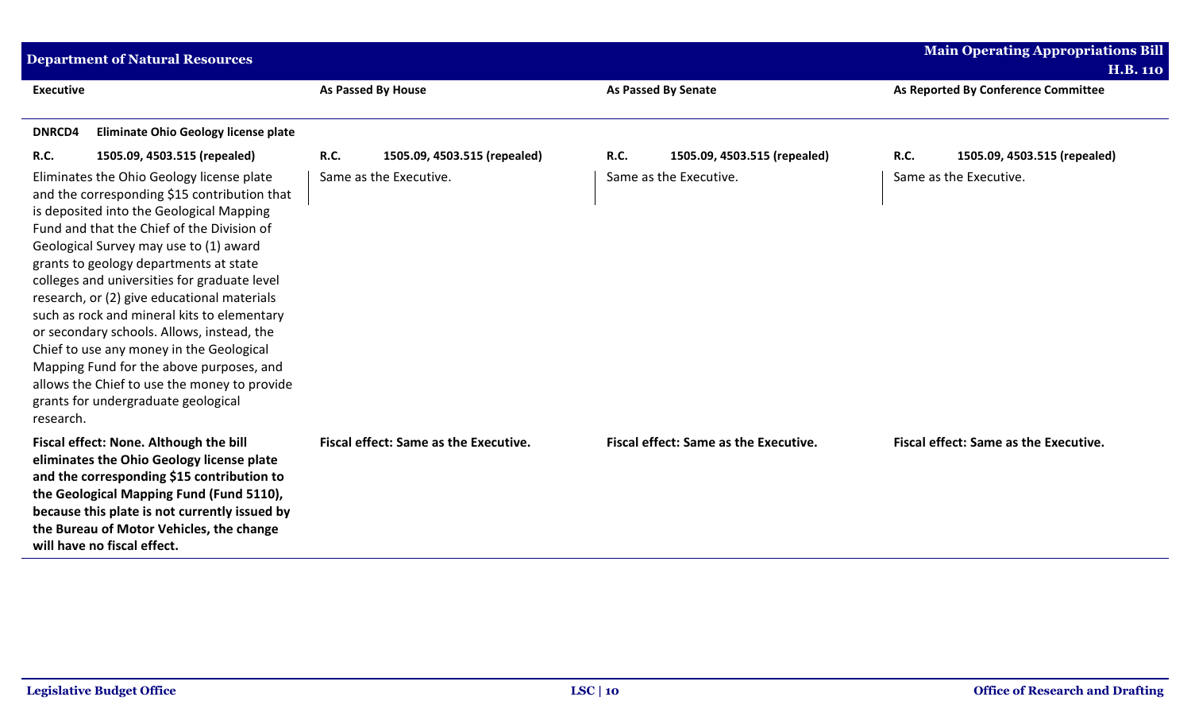| <b>Department of Natural Resources</b>                                                                                                                                                                                                                                                                                                                                                                                                                                                                                                                                                                                                                          |                                       |                                             | <b>Main Operating Appropriations Bill</b> |
|-----------------------------------------------------------------------------------------------------------------------------------------------------------------------------------------------------------------------------------------------------------------------------------------------------------------------------------------------------------------------------------------------------------------------------------------------------------------------------------------------------------------------------------------------------------------------------------------------------------------------------------------------------------------|---------------------------------------|---------------------------------------------|-------------------------------------------|
|                                                                                                                                                                                                                                                                                                                                                                                                                                                                                                                                                                                                                                                                 |                                       |                                             | <b>H.B. 110</b>                           |
| <b>Executive</b>                                                                                                                                                                                                                                                                                                                                                                                                                                                                                                                                                                                                                                                | <b>As Passed By House</b>             | <b>As Passed By Senate</b>                  | As Reported By Conference Committee       |
|                                                                                                                                                                                                                                                                                                                                                                                                                                                                                                                                                                                                                                                                 |                                       |                                             |                                           |
| <b>DNRCD4</b><br><b>Eliminate Ohio Geology license plate</b>                                                                                                                                                                                                                                                                                                                                                                                                                                                                                                                                                                                                    |                                       |                                             |                                           |
| R.C.<br>1505.09, 4503.515 (repealed)                                                                                                                                                                                                                                                                                                                                                                                                                                                                                                                                                                                                                            | R.C.<br>1505.09, 4503.515 (repealed)  | <b>R.C.</b><br>1505.09, 4503.515 (repealed) | R.C.<br>1505.09, 4503.515 (repealed)      |
| Eliminates the Ohio Geology license plate<br>and the corresponding \$15 contribution that<br>is deposited into the Geological Mapping<br>Fund and that the Chief of the Division of<br>Geological Survey may use to (1) award<br>grants to geology departments at state<br>colleges and universities for graduate level<br>research, or (2) give educational materials<br>such as rock and mineral kits to elementary<br>or secondary schools. Allows, instead, the<br>Chief to use any money in the Geological<br>Mapping Fund for the above purposes, and<br>allows the Chief to use the money to provide<br>grants for undergraduate geological<br>research. | Same as the Executive.                | Same as the Executive.                      | Same as the Executive.                    |
| Fiscal effect: None. Although the bill<br>eliminates the Ohio Geology license plate<br>and the corresponding \$15 contribution to<br>the Geological Mapping Fund (Fund 5110),<br>because this plate is not currently issued by<br>the Bureau of Motor Vehicles, the change<br>will have no fiscal effect.                                                                                                                                                                                                                                                                                                                                                       | Fiscal effect: Same as the Executive. | Fiscal effect: Same as the Executive.       | Fiscal effect: Same as the Executive.     |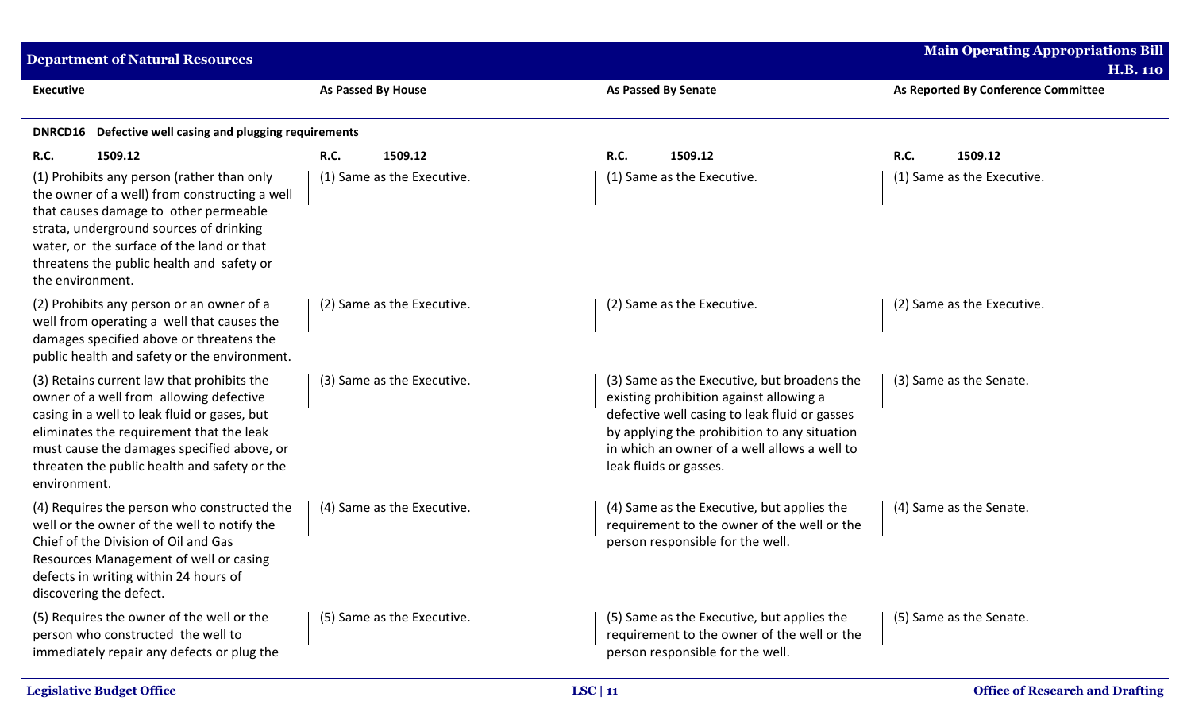| <b>Department of Natural Resources</b>                                                                                                                                                                                                                                                          |                            |                                                                                                                                                                                                                                                                   | <b>Main Operating Appropriations Bill</b><br><b>H.B. 110</b> |
|-------------------------------------------------------------------------------------------------------------------------------------------------------------------------------------------------------------------------------------------------------------------------------------------------|----------------------------|-------------------------------------------------------------------------------------------------------------------------------------------------------------------------------------------------------------------------------------------------------------------|--------------------------------------------------------------|
| <b>Executive</b>                                                                                                                                                                                                                                                                                | <b>As Passed By House</b>  | <b>As Passed By Senate</b>                                                                                                                                                                                                                                        | As Reported By Conference Committee                          |
| DNRCD16 Defective well casing and plugging requirements                                                                                                                                                                                                                                         |                            |                                                                                                                                                                                                                                                                   |                                                              |
| <b>R.C.</b><br>1509.12                                                                                                                                                                                                                                                                          | R.C.<br>1509.12            | <b>R.C.</b><br>1509.12                                                                                                                                                                                                                                            | <b>R.C.</b><br>1509.12                                       |
| (1) Prohibits any person (rather than only<br>the owner of a well) from constructing a well<br>that causes damage to other permeable<br>strata, underground sources of drinking<br>water, or the surface of the land or that<br>threatens the public health and safety or<br>the environment.   | (1) Same as the Executive. | (1) Same as the Executive.                                                                                                                                                                                                                                        | (1) Same as the Executive.                                   |
| (2) Prohibits any person or an owner of a<br>well from operating a well that causes the<br>damages specified above or threatens the<br>public health and safety or the environment.                                                                                                             | (2) Same as the Executive. | (2) Same as the Executive.                                                                                                                                                                                                                                        | (2) Same as the Executive.                                   |
| (3) Retains current law that prohibits the<br>owner of a well from allowing defective<br>casing in a well to leak fluid or gases, but<br>eliminates the requirement that the leak<br>must cause the damages specified above, or<br>threaten the public health and safety or the<br>environment. | (3) Same as the Executive. | (3) Same as the Executive, but broadens the<br>existing prohibition against allowing a<br>defective well casing to leak fluid or gasses<br>by applying the prohibition to any situation<br>in which an owner of a well allows a well to<br>leak fluids or gasses. | (3) Same as the Senate.                                      |
| (4) Requires the person who constructed the<br>well or the owner of the well to notify the<br>Chief of the Division of Oil and Gas<br>Resources Management of well or casing<br>defects in writing within 24 hours of<br>discovering the defect.                                                | (4) Same as the Executive. | (4) Same as the Executive, but applies the<br>requirement to the owner of the well or the<br>person responsible for the well.                                                                                                                                     | (4) Same as the Senate.                                      |
| (5) Requires the owner of the well or the<br>person who constructed the well to<br>immediately repair any defects or plug the                                                                                                                                                                   | (5) Same as the Executive. | (5) Same as the Executive, but applies the<br>requirement to the owner of the well or the<br>person responsible for the well.                                                                                                                                     | (5) Same as the Senate.                                      |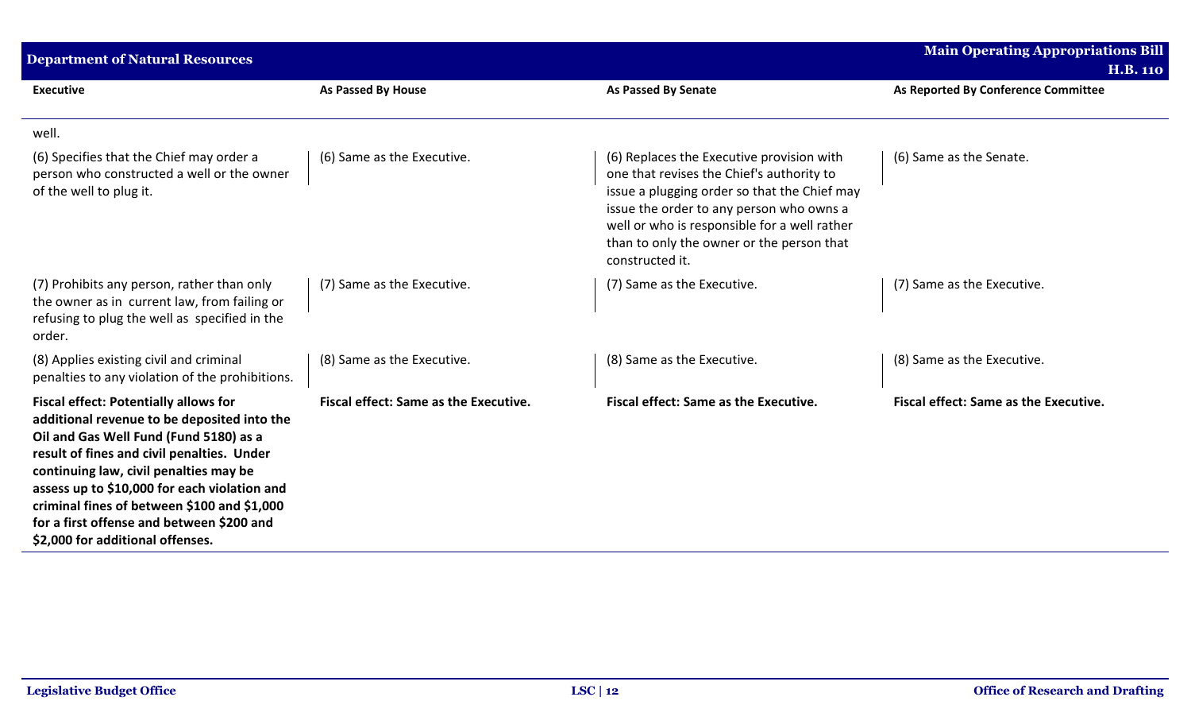| <b>Department of Natural Resources</b>                                                                                                                                                                                                                                                                                                                                                                        |                                       |                                                                                                                                                                                                                                                                                                    | <b>Main Operating Appropriations Bill</b> |
|---------------------------------------------------------------------------------------------------------------------------------------------------------------------------------------------------------------------------------------------------------------------------------------------------------------------------------------------------------------------------------------------------------------|---------------------------------------|----------------------------------------------------------------------------------------------------------------------------------------------------------------------------------------------------------------------------------------------------------------------------------------------------|-------------------------------------------|
|                                                                                                                                                                                                                                                                                                                                                                                                               |                                       |                                                                                                                                                                                                                                                                                                    | <b>H.B. 110</b>                           |
| <b>Executive</b>                                                                                                                                                                                                                                                                                                                                                                                              | As Passed By House                    | <b>As Passed By Senate</b>                                                                                                                                                                                                                                                                         | As Reported By Conference Committee       |
| well.                                                                                                                                                                                                                                                                                                                                                                                                         |                                       |                                                                                                                                                                                                                                                                                                    |                                           |
| (6) Specifies that the Chief may order a<br>person who constructed a well or the owner<br>of the well to plug it.                                                                                                                                                                                                                                                                                             | (6) Same as the Executive.            | (6) Replaces the Executive provision with<br>one that revises the Chief's authority to<br>issue a plugging order so that the Chief may<br>issue the order to any person who owns a<br>well or who is responsible for a well rather<br>than to only the owner or the person that<br>constructed it. | (6) Same as the Senate.                   |
| (7) Prohibits any person, rather than only<br>the owner as in current law, from failing or<br>refusing to plug the well as specified in the<br>order.                                                                                                                                                                                                                                                         | (7) Same as the Executive.            | (7) Same as the Executive.                                                                                                                                                                                                                                                                         | (7) Same as the Executive.                |
| (8) Applies existing civil and criminal<br>penalties to any violation of the prohibitions.                                                                                                                                                                                                                                                                                                                    | (8) Same as the Executive.            | (8) Same as the Executive.                                                                                                                                                                                                                                                                         | (8) Same as the Executive.                |
| <b>Fiscal effect: Potentially allows for</b><br>additional revenue to be deposited into the<br>Oil and Gas Well Fund (Fund 5180) as a<br>result of fines and civil penalties. Under<br>continuing law, civil penalties may be<br>assess up to \$10,000 for each violation and<br>criminal fines of between \$100 and \$1,000<br>for a first offense and between \$200 and<br>\$2,000 for additional offenses. | Fiscal effect: Same as the Executive. | <b>Fiscal effect: Same as the Executive.</b>                                                                                                                                                                                                                                                       | Fiscal effect: Same as the Executive.     |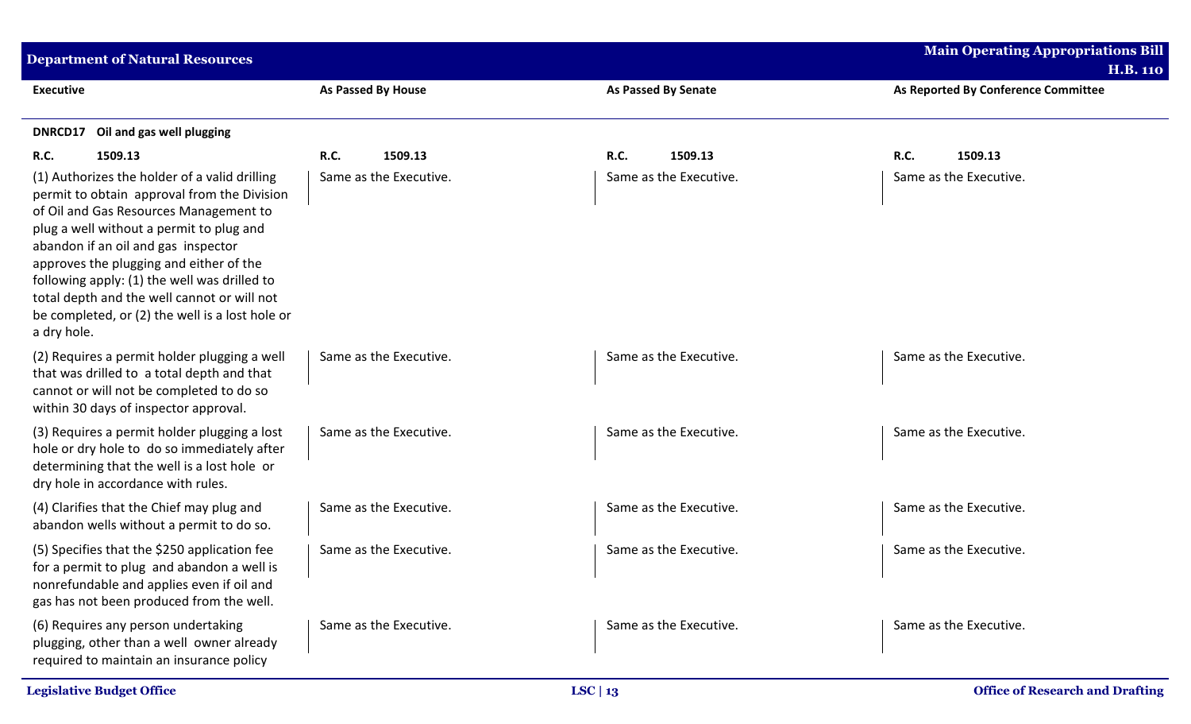| <b>Department of Natural Resources</b>                                                                                                                                                                                                                                                                                                                                                                                                |                           |                            | <b>Main Operating Appropriations Bill</b> |
|---------------------------------------------------------------------------------------------------------------------------------------------------------------------------------------------------------------------------------------------------------------------------------------------------------------------------------------------------------------------------------------------------------------------------------------|---------------------------|----------------------------|-------------------------------------------|
|                                                                                                                                                                                                                                                                                                                                                                                                                                       |                           |                            | <b>H.B. 110</b>                           |
| <b>Executive</b>                                                                                                                                                                                                                                                                                                                                                                                                                      | <b>As Passed By House</b> | <b>As Passed By Senate</b> | As Reported By Conference Committee       |
| Oil and gas well plugging<br>DNRCD17                                                                                                                                                                                                                                                                                                                                                                                                  |                           |                            |                                           |
| 1509.13<br><b>R.C.</b>                                                                                                                                                                                                                                                                                                                                                                                                                | 1509.13<br><b>R.C.</b>    | R.C.<br>1509.13            | R.C.<br>1509.13                           |
| (1) Authorizes the holder of a valid drilling<br>permit to obtain approval from the Division<br>of Oil and Gas Resources Management to<br>plug a well without a permit to plug and<br>abandon if an oil and gas inspector<br>approves the plugging and either of the<br>following apply: (1) the well was drilled to<br>total depth and the well cannot or will not<br>be completed, or (2) the well is a lost hole or<br>a dry hole. | Same as the Executive.    | Same as the Executive.     | Same as the Executive.                    |
| (2) Requires a permit holder plugging a well<br>that was drilled to a total depth and that<br>cannot or will not be completed to do so<br>within 30 days of inspector approval.                                                                                                                                                                                                                                                       | Same as the Executive.    | Same as the Executive.     | Same as the Executive.                    |
| (3) Requires a permit holder plugging a lost<br>hole or dry hole to do so immediately after<br>determining that the well is a lost hole or<br>dry hole in accordance with rules.                                                                                                                                                                                                                                                      | Same as the Executive.    | Same as the Executive.     | Same as the Executive.                    |
| (4) Clarifies that the Chief may plug and<br>abandon wells without a permit to do so.                                                                                                                                                                                                                                                                                                                                                 | Same as the Executive.    | Same as the Executive.     | Same as the Executive.                    |
| (5) Specifies that the \$250 application fee<br>for a permit to plug and abandon a well is<br>nonrefundable and applies even if oil and<br>gas has not been produced from the well.                                                                                                                                                                                                                                                   | Same as the Executive.    | Same as the Executive.     | Same as the Executive.                    |
| (6) Requires any person undertaking<br>plugging, other than a well owner already<br>required to maintain an insurance policy                                                                                                                                                                                                                                                                                                          | Same as the Executive.    | Same as the Executive.     | Same as the Executive.                    |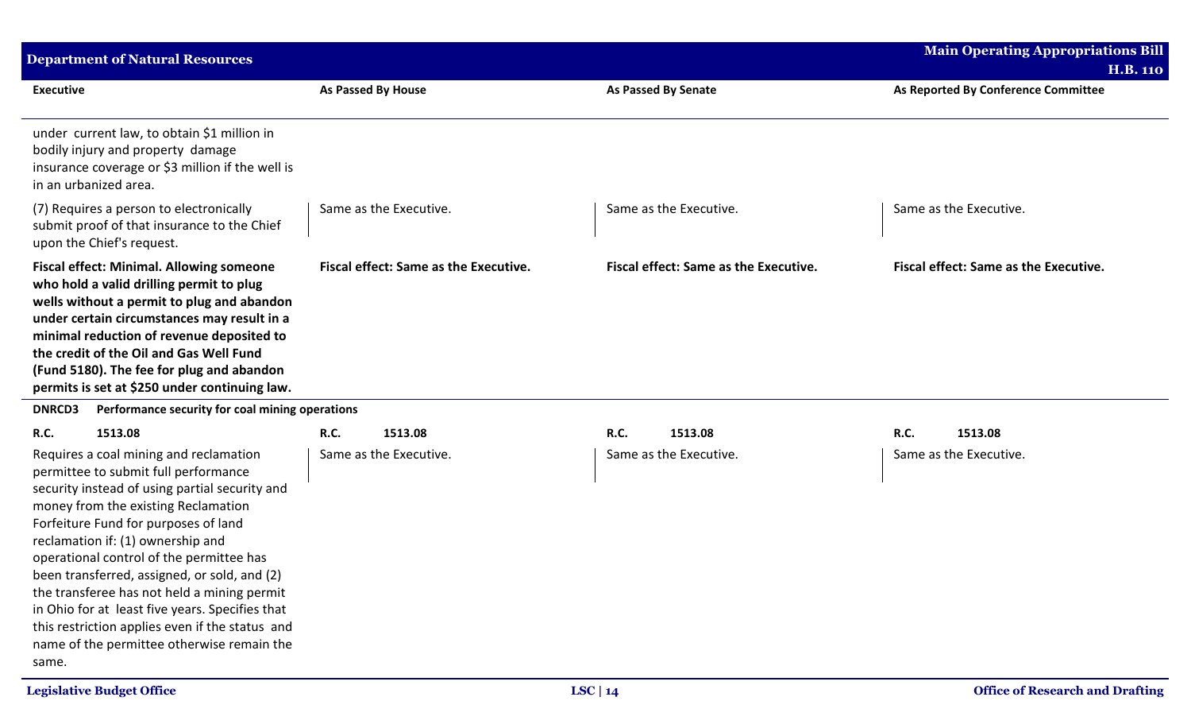| <b>Department of Natural Resources</b>                                                                                                                                                                                                                                                                                                                                                                                                                                                                                                                               |                                              |                                       | <b>Main Operating Appropriations Bill</b>              |
|----------------------------------------------------------------------------------------------------------------------------------------------------------------------------------------------------------------------------------------------------------------------------------------------------------------------------------------------------------------------------------------------------------------------------------------------------------------------------------------------------------------------------------------------------------------------|----------------------------------------------|---------------------------------------|--------------------------------------------------------|
| <b>Executive</b>                                                                                                                                                                                                                                                                                                                                                                                                                                                                                                                                                     | As Passed By House                           | <b>As Passed By Senate</b>            | <b>H.B. 110</b><br>As Reported By Conference Committee |
| under current law, to obtain \$1 million in<br>bodily injury and property damage<br>insurance coverage or \$3 million if the well is<br>in an urbanized area.                                                                                                                                                                                                                                                                                                                                                                                                        |                                              |                                       |                                                        |
| (7) Requires a person to electronically<br>submit proof of that insurance to the Chief<br>upon the Chief's request.                                                                                                                                                                                                                                                                                                                                                                                                                                                  | Same as the Executive.                       | Same as the Executive.                | Same as the Executive.                                 |
| <b>Fiscal effect: Minimal. Allowing someone</b><br>who hold a valid drilling permit to plug<br>wells without a permit to plug and abandon<br>under certain circumstances may result in a<br>minimal reduction of revenue deposited to<br>the credit of the Oil and Gas Well Fund<br>(Fund 5180). The fee for plug and abandon<br>permits is set at \$250 under continuing law.                                                                                                                                                                                       | <b>Fiscal effect: Same as the Executive.</b> | Fiscal effect: Same as the Executive. | Fiscal effect: Same as the Executive.                  |
| Performance security for coal mining operations<br><b>DNRCD3</b><br>1513.08                                                                                                                                                                                                                                                                                                                                                                                                                                                                                          | R.C.<br>1513.08                              | R.C.<br>1513.08                       | R.C.<br>1513.08                                        |
| R.C.<br>Requires a coal mining and reclamation<br>permittee to submit full performance<br>security instead of using partial security and<br>money from the existing Reclamation<br>Forfeiture Fund for purposes of land<br>reclamation if: (1) ownership and<br>operational control of the permittee has<br>been transferred, assigned, or sold, and (2)<br>the transferee has not held a mining permit<br>in Ohio for at least five years. Specifies that<br>this restriction applies even if the status and<br>name of the permittee otherwise remain the<br>same. | Same as the Executive.                       | Same as the Executive.                | Same as the Executive.                                 |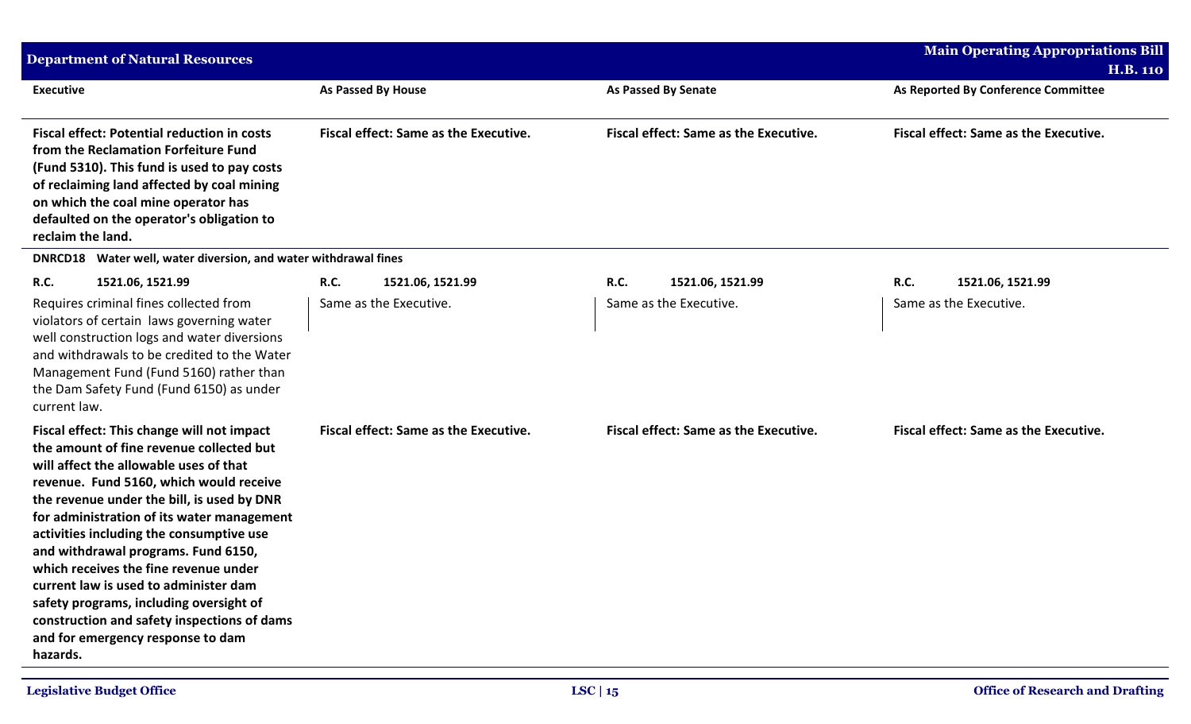| <b>Department of Natural Resources</b>                                                                                                                                                                                                                                                                                                                                                                                                                                                                                                                                                  |                                              |                                              | <b>Main Operating Appropriations Bill</b>              |
|-----------------------------------------------------------------------------------------------------------------------------------------------------------------------------------------------------------------------------------------------------------------------------------------------------------------------------------------------------------------------------------------------------------------------------------------------------------------------------------------------------------------------------------------------------------------------------------------|----------------------------------------------|----------------------------------------------|--------------------------------------------------------|
| <b>Executive</b>                                                                                                                                                                                                                                                                                                                                                                                                                                                                                                                                                                        | <b>As Passed By House</b>                    | <b>As Passed By Senate</b>                   | <b>H.B. 110</b><br>As Reported By Conference Committee |
| <b>Fiscal effect: Potential reduction in costs</b><br>from the Reclamation Forfeiture Fund<br>(Fund 5310). This fund is used to pay costs<br>of reclaiming land affected by coal mining<br>on which the coal mine operator has<br>defaulted on the operator's obligation to<br>reclaim the land.                                                                                                                                                                                                                                                                                        | <b>Fiscal effect: Same as the Executive.</b> | <b>Fiscal effect: Same as the Executive.</b> | <b>Fiscal effect: Same as the Executive.</b>           |
| Water well, water diversion, and water withdrawal fines<br><b>DNRCD18</b>                                                                                                                                                                                                                                                                                                                                                                                                                                                                                                               |                                              |                                              |                                                        |
| <b>R.C.</b><br>1521.06, 1521.99                                                                                                                                                                                                                                                                                                                                                                                                                                                                                                                                                         | <b>R.C.</b><br>1521.06, 1521.99              | <b>R.C.</b><br>1521.06, 1521.99              | R.C.<br>1521.06, 1521.99                               |
| Requires criminal fines collected from<br>violators of certain laws governing water<br>well construction logs and water diversions<br>and withdrawals to be credited to the Water<br>Management Fund (Fund 5160) rather than<br>the Dam Safety Fund (Fund 6150) as under<br>current law.                                                                                                                                                                                                                                                                                                | Same as the Executive.                       | Same as the Executive.                       | Same as the Executive.                                 |
| Fiscal effect: This change will not impact<br>the amount of fine revenue collected but<br>will affect the allowable uses of that<br>revenue. Fund 5160, which would receive<br>the revenue under the bill, is used by DNR<br>for administration of its water management<br>activities including the consumptive use<br>and withdrawal programs. Fund 6150,<br>which receives the fine revenue under<br>current law is used to administer dam<br>safety programs, including oversight of<br>construction and safety inspections of dams<br>and for emergency response to dam<br>hazards. | <b>Fiscal effect: Same as the Executive.</b> | Fiscal effect: Same as the Executive.        | <b>Fiscal effect: Same as the Executive.</b>           |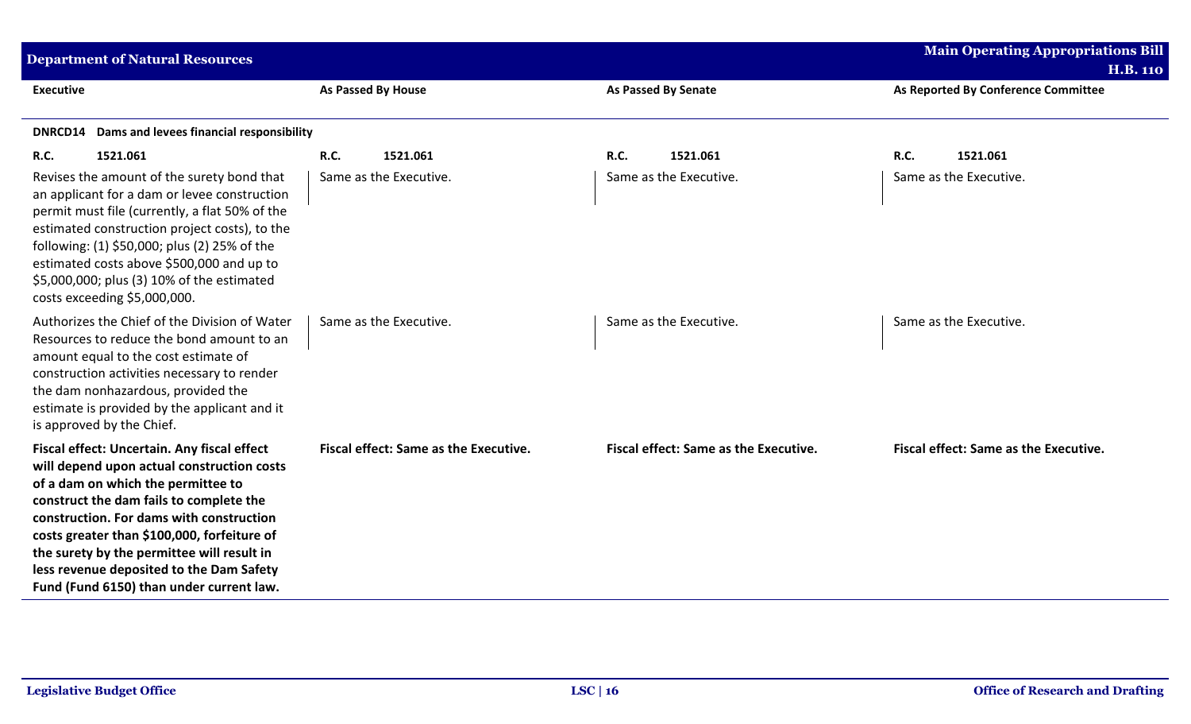| <b>Department of Natural Resources</b>                                                                                                                                                                                                                                                                                                                                                                      |                                       |                                              | <b>Main Operating Appropriations Bill</b>    |
|-------------------------------------------------------------------------------------------------------------------------------------------------------------------------------------------------------------------------------------------------------------------------------------------------------------------------------------------------------------------------------------------------------------|---------------------------------------|----------------------------------------------|----------------------------------------------|
|                                                                                                                                                                                                                                                                                                                                                                                                             |                                       |                                              | <b>H.B. 110</b>                              |
| <b>Executive</b>                                                                                                                                                                                                                                                                                                                                                                                            | As Passed By House                    | <b>As Passed By Senate</b>                   | As Reported By Conference Committee          |
| Dams and levees financial responsibility<br><b>DNRCD14</b>                                                                                                                                                                                                                                                                                                                                                  |                                       |                                              |                                              |
| R.C.<br>1521.061                                                                                                                                                                                                                                                                                                                                                                                            | R.C.<br>1521.061                      | <b>R.C.</b><br>1521.061                      | R.C.<br>1521.061                             |
| Revises the amount of the surety bond that<br>an applicant for a dam or levee construction<br>permit must file (currently, a flat 50% of the<br>estimated construction project costs), to the<br>following: (1) \$50,000; plus (2) 25% of the<br>estimated costs above \$500,000 and up to<br>\$5,000,000; plus (3) 10% of the estimated<br>costs exceeding \$5,000,000.                                    | Same as the Executive.                | Same as the Executive.                       | Same as the Executive.                       |
| Authorizes the Chief of the Division of Water<br>Resources to reduce the bond amount to an<br>amount equal to the cost estimate of<br>construction activities necessary to render<br>the dam nonhazardous, provided the<br>estimate is provided by the applicant and it<br>is approved by the Chief.                                                                                                        | Same as the Executive.                | Same as the Executive.                       | Same as the Executive.                       |
| Fiscal effect: Uncertain. Any fiscal effect<br>will depend upon actual construction costs<br>of a dam on which the permittee to<br>construct the dam fails to complete the<br>construction. For dams with construction<br>costs greater than \$100,000, forfeiture of<br>the surety by the permittee will result in<br>less revenue deposited to the Dam Safety<br>Fund (Fund 6150) than under current law. | Fiscal effect: Same as the Executive. | <b>Fiscal effect: Same as the Executive.</b> | <b>Fiscal effect: Same as the Executive.</b> |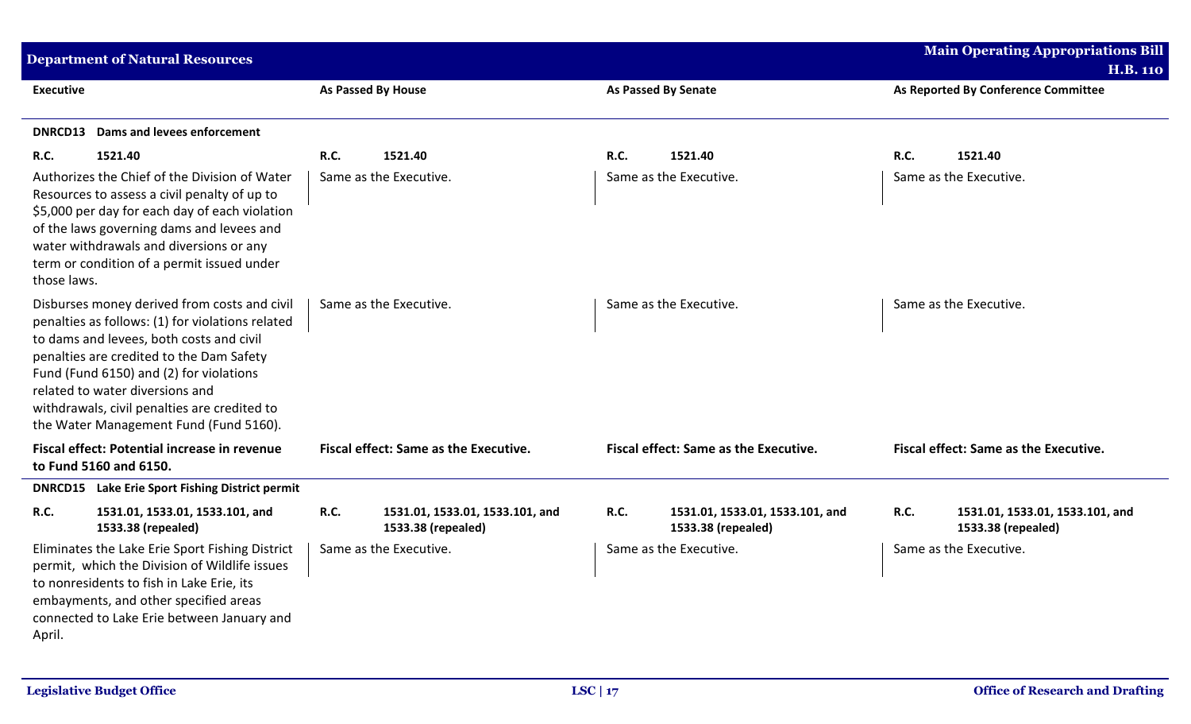| <b>Department of Natural Resources</b>                                                                                                                                                                                                                                                                                                                           |                                 |                           |                                                       |             |                                                       |             | <b>Main Operating Appropriations Bill</b>             |
|------------------------------------------------------------------------------------------------------------------------------------------------------------------------------------------------------------------------------------------------------------------------------------------------------------------------------------------------------------------|---------------------------------|---------------------------|-------------------------------------------------------|-------------|-------------------------------------------------------|-------------|-------------------------------------------------------|
|                                                                                                                                                                                                                                                                                                                                                                  |                                 |                           |                                                       |             |                                                       |             | <b>H.B. 110</b>                                       |
| <b>Executive</b>                                                                                                                                                                                                                                                                                                                                                 |                                 | <b>As Passed By House</b> |                                                       |             | As Passed By Senate                                   |             | As Reported By Conference Committee                   |
| <b>DNRCD13</b> Dams and levees enforcement                                                                                                                                                                                                                                                                                                                       |                                 |                           |                                                       |             |                                                       |             |                                                       |
| 1521.40<br><b>R.C.</b>                                                                                                                                                                                                                                                                                                                                           |                                 | R.C.                      | 1521.40                                               | R.C.        | 1521.40                                               | R.C.        | 1521.40                                               |
| Authorizes the Chief of the Division of Water<br>Resources to assess a civil penalty of up to<br>\$5,000 per day for each day of each violation<br>of the laws governing dams and levees and<br>water withdrawals and diversions or any<br>term or condition of a permit issued under<br>those laws.                                                             |                                 |                           | Same as the Executive.                                |             | Same as the Executive.                                |             | Same as the Executive.                                |
| Disburses money derived from costs and civil<br>penalties as follows: (1) for violations related<br>to dams and levees, both costs and civil<br>penalties are credited to the Dam Safety<br>Fund (Fund 6150) and (2) for violations<br>related to water diversions and<br>withdrawals, civil penalties are credited to<br>the Water Management Fund (Fund 5160). |                                 |                           | Same as the Executive.                                |             | Same as the Executive.                                |             | Same as the Executive.                                |
| <b>Fiscal effect: Potential increase in revenue</b><br>to Fund 5160 and 6150.                                                                                                                                                                                                                                                                                    |                                 |                           | <b>Fiscal effect: Same as the Executive.</b>          |             | Fiscal effect: Same as the Executive.                 |             | Fiscal effect: Same as the Executive.                 |
| <b>DNRCD15</b> Lake Erie Sport Fishing District permit                                                                                                                                                                                                                                                                                                           |                                 |                           |                                                       |             |                                                       |             |                                                       |
| <b>R.C.</b><br>1533.38 (repealed)                                                                                                                                                                                                                                                                                                                                | 1531.01, 1533.01, 1533.101, and | <b>R.C.</b>               | 1531.01, 1533.01, 1533.101, and<br>1533.38 (repealed) | <b>R.C.</b> | 1531.01, 1533.01, 1533.101, and<br>1533.38 (repealed) | <b>R.C.</b> | 1531.01, 1533.01, 1533.101, and<br>1533.38 (repealed) |
| Eliminates the Lake Erie Sport Fishing District<br>permit, which the Division of Wildlife issues<br>to nonresidents to fish in Lake Erie, its<br>embayments, and other specified areas<br>connected to Lake Erie between January and<br>April.                                                                                                                   |                                 |                           | Same as the Executive.                                |             | Same as the Executive.                                |             | Same as the Executive.                                |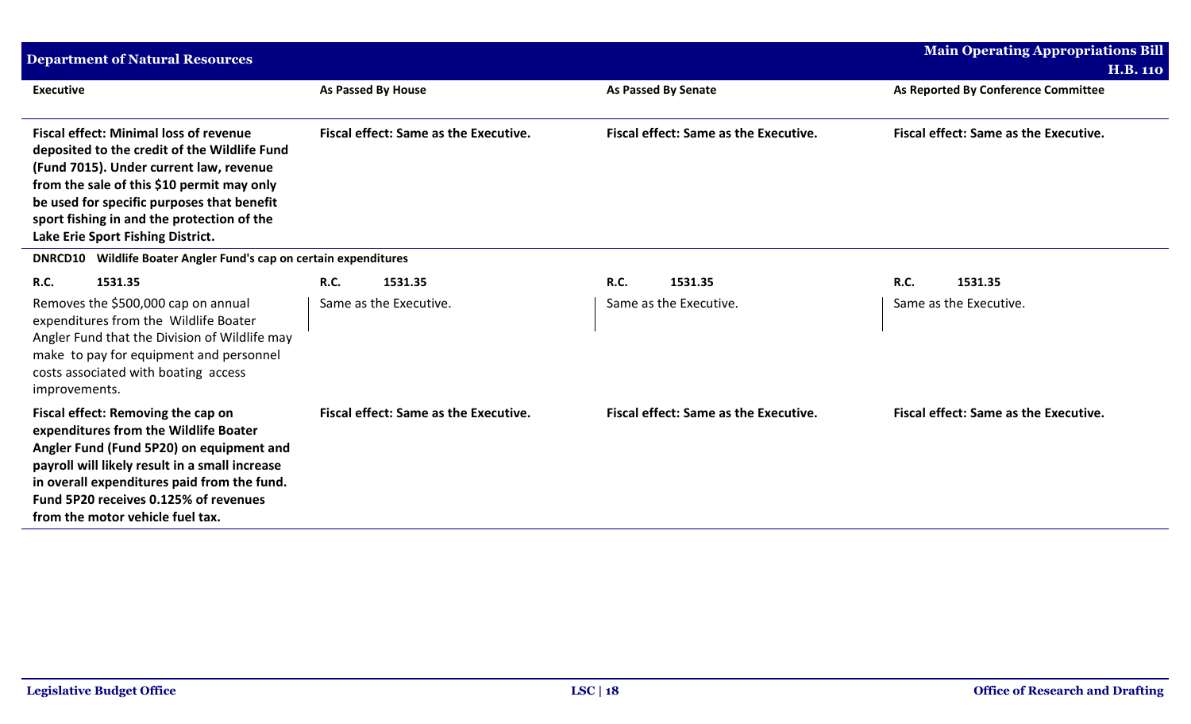| <b>Department of Natural Resources</b>                                                                                                                                                                                                                                                                                  |                                              |                                              | <b>Main Operating Appropriations Bill</b><br><b>H.B. 110</b> |
|-------------------------------------------------------------------------------------------------------------------------------------------------------------------------------------------------------------------------------------------------------------------------------------------------------------------------|----------------------------------------------|----------------------------------------------|--------------------------------------------------------------|
| <b>Executive</b>                                                                                                                                                                                                                                                                                                        | <b>As Passed By House</b>                    | <b>As Passed By Senate</b>                   | As Reported By Conference Committee                          |
| <b>Fiscal effect: Minimal loss of revenue</b><br>deposited to the credit of the Wildlife Fund<br>(Fund 7015). Under current law, revenue<br>from the sale of this \$10 permit may only<br>be used for specific purposes that benefit<br>sport fishing in and the protection of the<br>Lake Erie Sport Fishing District. | Fiscal effect: Same as the Executive.        | <b>Fiscal effect: Same as the Executive.</b> | <b>Fiscal effect: Same as the Executive.</b>                 |
| DNRCD10 Wildlife Boater Angler Fund's cap on certain expenditures                                                                                                                                                                                                                                                       |                                              |                                              |                                                              |
| 1531.35<br>R.C.                                                                                                                                                                                                                                                                                                         | R.C.<br>1531.35                              | 1531.35<br><b>R.C.</b>                       | <b>R.C.</b><br>1531.35                                       |
| Removes the \$500,000 cap on annual<br>expenditures from the Wildlife Boater<br>Angler Fund that the Division of Wildlife may<br>make to pay for equipment and personnel<br>costs associated with boating access<br>improvements.                                                                                       | Same as the Executive.                       | Same as the Executive.                       | Same as the Executive.                                       |
| Fiscal effect: Removing the cap on<br>expenditures from the Wildlife Boater<br>Angler Fund (Fund 5P20) on equipment and<br>payroll will likely result in a small increase<br>in overall expenditures paid from the fund.<br>Fund 5P20 receives 0.125% of revenues<br>from the motor vehicle fuel tax.                   | <b>Fiscal effect: Same as the Executive.</b> | <b>Fiscal effect: Same as the Executive.</b> | <b>Fiscal effect: Same as the Executive.</b>                 |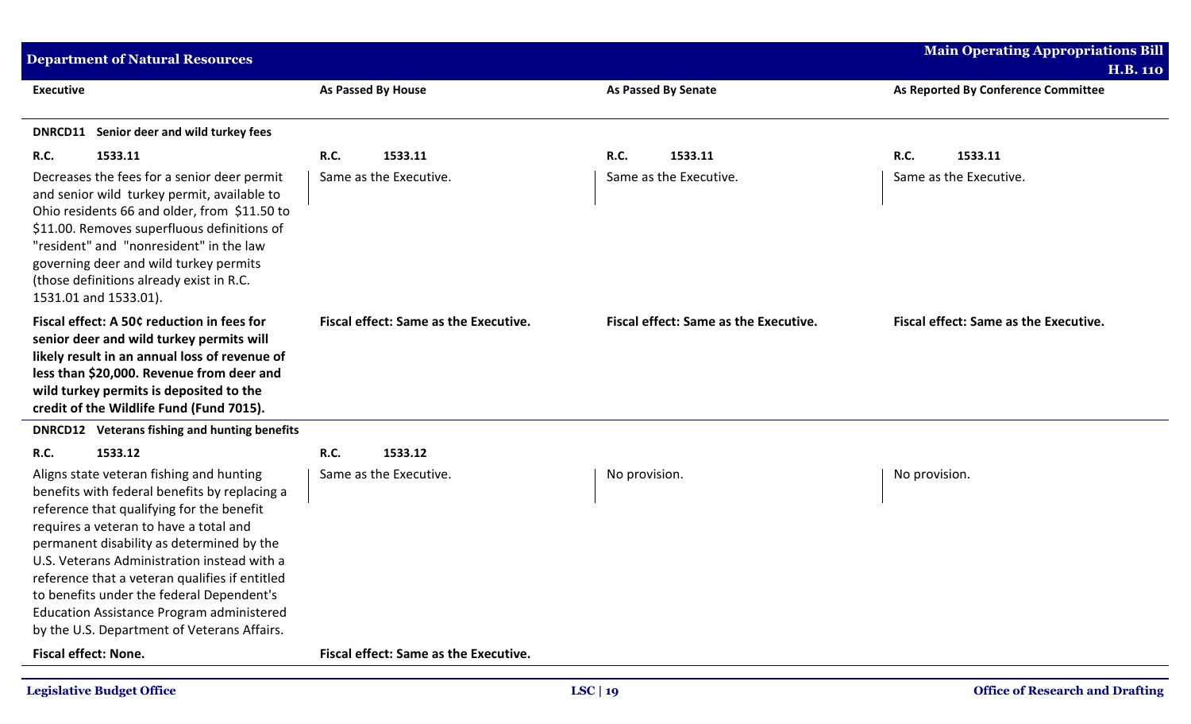| <b>Department of Natural Resources</b>                                                                                                                                                                                                                                                                                                                                                                                                                                  |                                              |                                              | <b>Main Operating Appropriations Bill</b>    |
|-------------------------------------------------------------------------------------------------------------------------------------------------------------------------------------------------------------------------------------------------------------------------------------------------------------------------------------------------------------------------------------------------------------------------------------------------------------------------|----------------------------------------------|----------------------------------------------|----------------------------------------------|
|                                                                                                                                                                                                                                                                                                                                                                                                                                                                         |                                              |                                              | <b>H.B. 110</b>                              |
| <b>Executive</b>                                                                                                                                                                                                                                                                                                                                                                                                                                                        | <b>As Passed By House</b>                    | <b>As Passed By Senate</b>                   | As Reported By Conference Committee          |
| DNRCD11 Senior deer and wild turkey fees                                                                                                                                                                                                                                                                                                                                                                                                                                |                                              |                                              |                                              |
| R.C.<br>1533.11                                                                                                                                                                                                                                                                                                                                                                                                                                                         | R.C.<br>1533.11                              | <b>R.C.</b><br>1533.11                       | R.C.<br>1533.11                              |
| Decreases the fees for a senior deer permit<br>and senior wild turkey permit, available to<br>Ohio residents 66 and older, from \$11.50 to<br>\$11.00. Removes superfluous definitions of<br>"resident" and "nonresident" in the law<br>governing deer and wild turkey permits<br>(those definitions already exist in R.C.<br>1531.01 and 1533.01).                                                                                                                     | Same as the Executive.                       | Same as the Executive.                       | Same as the Executive.                       |
| Fiscal effect: A 50¢ reduction in fees for<br>senior deer and wild turkey permits will<br>likely result in an annual loss of revenue of<br>less than \$20,000. Revenue from deer and<br>wild turkey permits is deposited to the<br>credit of the Wildlife Fund (Fund 7015).                                                                                                                                                                                             | <b>Fiscal effect: Same as the Executive.</b> | <b>Fiscal effect: Same as the Executive.</b> | <b>Fiscal effect: Same as the Executive.</b> |
| <b>DNRCD12</b> Veterans fishing and hunting benefits                                                                                                                                                                                                                                                                                                                                                                                                                    |                                              |                                              |                                              |
| R.C.<br>1533.12                                                                                                                                                                                                                                                                                                                                                                                                                                                         | R.C.<br>1533.12                              |                                              |                                              |
| Aligns state veteran fishing and hunting<br>benefits with federal benefits by replacing a<br>reference that qualifying for the benefit<br>requires a veteran to have a total and<br>permanent disability as determined by the<br>U.S. Veterans Administration instead with a<br>reference that a veteran qualifies if entitled<br>to benefits under the federal Dependent's<br>Education Assistance Program administered<br>by the U.S. Department of Veterans Affairs. | Same as the Executive.                       | No provision.                                | No provision.                                |
| <b>Fiscal effect: None.</b>                                                                                                                                                                                                                                                                                                                                                                                                                                             | Fiscal effect: Same as the Executive.        |                                              |                                              |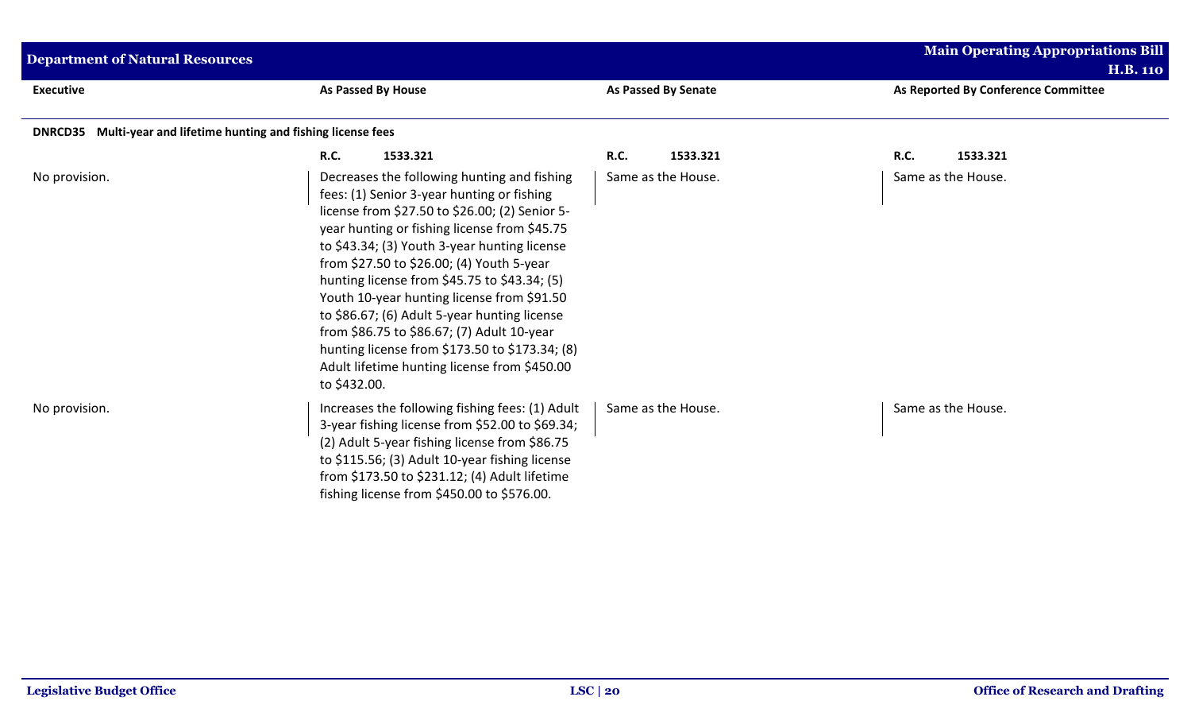| <b>Department of Natural Resources</b>                           |                                                                                                                                                                                                                                                                                                                                                                                                                                                                                                                                                                                                        |                            | <b>Main Operating Appropriations Bill</b><br><b>H.B. 110</b> |
|------------------------------------------------------------------|--------------------------------------------------------------------------------------------------------------------------------------------------------------------------------------------------------------------------------------------------------------------------------------------------------------------------------------------------------------------------------------------------------------------------------------------------------------------------------------------------------------------------------------------------------------------------------------------------------|----------------------------|--------------------------------------------------------------|
| <b>Executive</b>                                                 | As Passed By House                                                                                                                                                                                                                                                                                                                                                                                                                                                                                                                                                                                     | <b>As Passed By Senate</b> | As Reported By Conference Committee                          |
| DNRCD35 Multi-year and lifetime hunting and fishing license fees |                                                                                                                                                                                                                                                                                                                                                                                                                                                                                                                                                                                                        |                            |                                                              |
|                                                                  | <b>R.C.</b><br>1533.321                                                                                                                                                                                                                                                                                                                                                                                                                                                                                                                                                                                | R.C.<br>1533.321           | R.C.<br>1533.321                                             |
| No provision.                                                    | Decreases the following hunting and fishing<br>fees: (1) Senior 3-year hunting or fishing<br>license from \$27.50 to \$26.00; (2) Senior 5-<br>year hunting or fishing license from \$45.75<br>to \$43.34; (3) Youth 3-year hunting license<br>from \$27.50 to \$26.00; (4) Youth 5-year<br>hunting license from \$45.75 to \$43.34; (5)<br>Youth 10-year hunting license from \$91.50<br>to \$86.67; (6) Adult 5-year hunting license<br>from \$86.75 to \$86.67; (7) Adult 10-year<br>hunting license from \$173.50 to \$173.34; (8)<br>Adult lifetime hunting license from \$450.00<br>to \$432.00. | Same as the House.         | Same as the House.                                           |
| No provision.                                                    | Increases the following fishing fees: (1) Adult<br>3-year fishing license from \$52.00 to \$69.34;<br>(2) Adult 5-year fishing license from \$86.75<br>to \$115.56; (3) Adult 10-year fishing license<br>from \$173.50 to \$231.12; (4) Adult lifetime<br>fishing license from \$450.00 to \$576.00.                                                                                                                                                                                                                                                                                                   | Same as the House.         | Same as the House.                                           |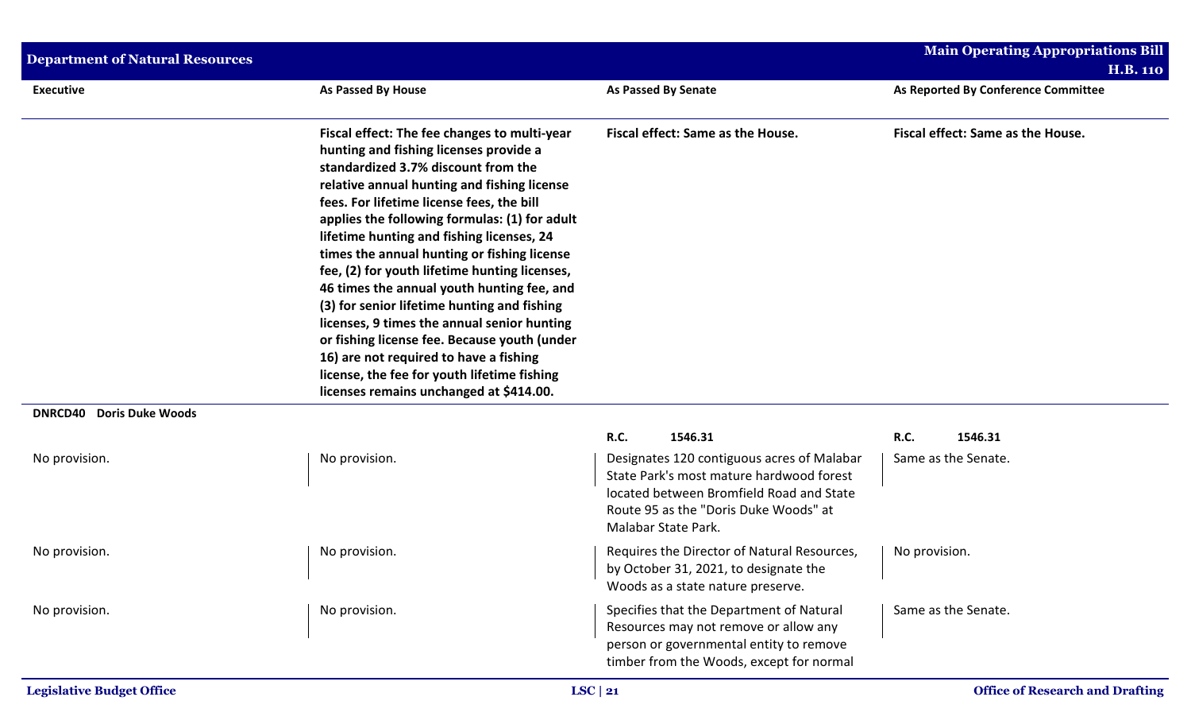| <b>Department of Natural Resources</b>    |                                                                                                                                                                                                                                                                                                                                                                                                                                                                                                                                                                                                                                                                                                                                                         |                                                                                                                                                                                                    | <b>Main Operating Appropriations Bill</b><br><b>H.B. 110</b> |
|-------------------------------------------|---------------------------------------------------------------------------------------------------------------------------------------------------------------------------------------------------------------------------------------------------------------------------------------------------------------------------------------------------------------------------------------------------------------------------------------------------------------------------------------------------------------------------------------------------------------------------------------------------------------------------------------------------------------------------------------------------------------------------------------------------------|----------------------------------------------------------------------------------------------------------------------------------------------------------------------------------------------------|--------------------------------------------------------------|
| <b>Executive</b>                          | <b>As Passed By House</b>                                                                                                                                                                                                                                                                                                                                                                                                                                                                                                                                                                                                                                                                                                                               | <b>As Passed By Senate</b>                                                                                                                                                                         | As Reported By Conference Committee                          |
|                                           | Fiscal effect: The fee changes to multi-year<br>hunting and fishing licenses provide a<br>standardized 3.7% discount from the<br>relative annual hunting and fishing license<br>fees. For lifetime license fees, the bill<br>applies the following formulas: (1) for adult<br>lifetime hunting and fishing licenses, 24<br>times the annual hunting or fishing license<br>fee, (2) for youth lifetime hunting licenses,<br>46 times the annual youth hunting fee, and<br>(3) for senior lifetime hunting and fishing<br>licenses, 9 times the annual senior hunting<br>or fishing license fee. Because youth (under<br>16) are not required to have a fishing<br>license, the fee for youth lifetime fishing<br>licenses remains unchanged at \$414.00. | Fiscal effect: Same as the House.                                                                                                                                                                  | Fiscal effect: Same as the House.                            |
| <b>DNRCD40</b><br><b>Doris Duke Woods</b> |                                                                                                                                                                                                                                                                                                                                                                                                                                                                                                                                                                                                                                                                                                                                                         | R.C.<br>1546.31                                                                                                                                                                                    | R.C.<br>1546.31                                              |
| No provision.                             | No provision.                                                                                                                                                                                                                                                                                                                                                                                                                                                                                                                                                                                                                                                                                                                                           | Designates 120 contiguous acres of Malabar<br>State Park's most mature hardwood forest<br>located between Bromfield Road and State<br>Route 95 as the "Doris Duke Woods" at<br>Malabar State Park. | Same as the Senate.                                          |
| No provision.                             | No provision.                                                                                                                                                                                                                                                                                                                                                                                                                                                                                                                                                                                                                                                                                                                                           | Requires the Director of Natural Resources,<br>by October 31, 2021, to designate the<br>Woods as a state nature preserve.                                                                          | No provision.                                                |
| No provision.                             | No provision.                                                                                                                                                                                                                                                                                                                                                                                                                                                                                                                                                                                                                                                                                                                                           | Specifies that the Department of Natural<br>Resources may not remove or allow any<br>person or governmental entity to remove<br>timber from the Woods, except for normal                           | Same as the Senate.                                          |
| <b>Legislative Budget Office</b>          |                                                                                                                                                                                                                                                                                                                                                                                                                                                                                                                                                                                                                                                                                                                                                         | LSC   21                                                                                                                                                                                           | <b>Office of Research and Drafting</b>                       |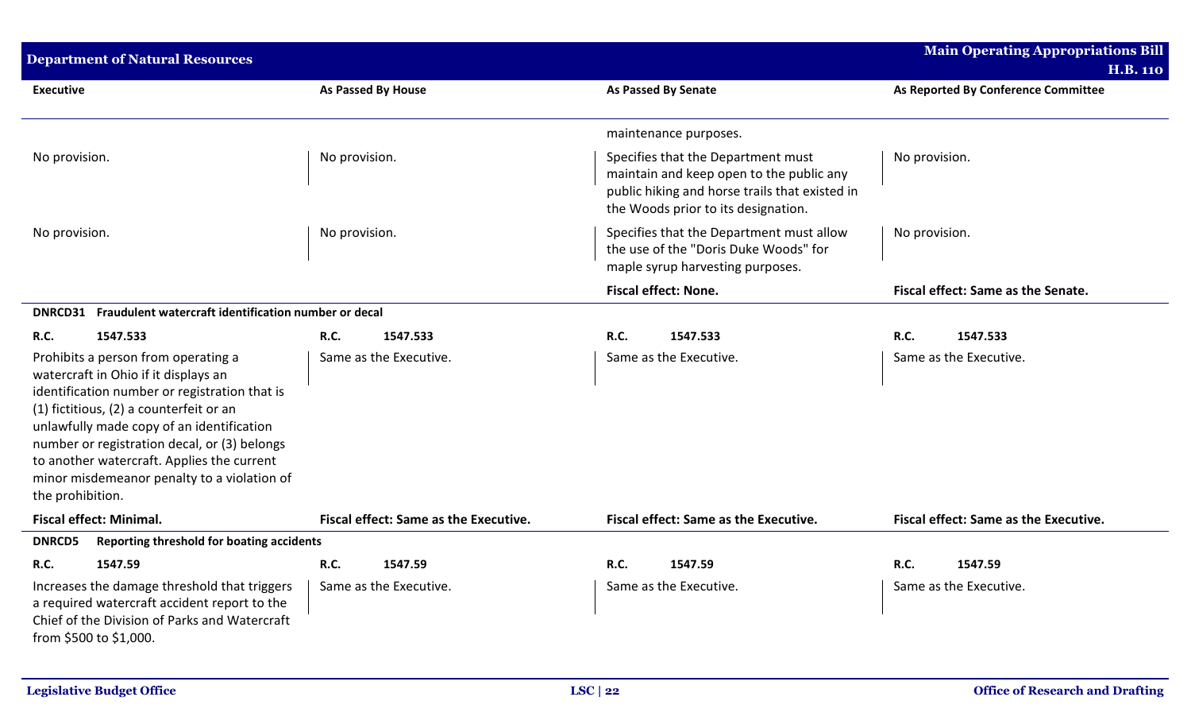| <b>Department of Natural Resources</b>                                                                                                                                                                                                                                                                                                                                                |                                       |                                                                                                                                                                         | <b>Main Operating Appropriations Bill</b> |  |  |
|---------------------------------------------------------------------------------------------------------------------------------------------------------------------------------------------------------------------------------------------------------------------------------------------------------------------------------------------------------------------------------------|---------------------------------------|-------------------------------------------------------------------------------------------------------------------------------------------------------------------------|-------------------------------------------|--|--|
|                                                                                                                                                                                                                                                                                                                                                                                       |                                       |                                                                                                                                                                         | <b>H.B. 110</b>                           |  |  |
| <b>Executive</b>                                                                                                                                                                                                                                                                                                                                                                      | <b>As Passed By House</b>             | <b>As Passed By Senate</b>                                                                                                                                              | As Reported By Conference Committee       |  |  |
|                                                                                                                                                                                                                                                                                                                                                                                       |                                       | maintenance purposes.                                                                                                                                                   |                                           |  |  |
| No provision.                                                                                                                                                                                                                                                                                                                                                                         | No provision.                         | Specifies that the Department must<br>maintain and keep open to the public any<br>public hiking and horse trails that existed in<br>the Woods prior to its designation. | No provision.                             |  |  |
| No provision.                                                                                                                                                                                                                                                                                                                                                                         | No provision.                         | Specifies that the Department must allow<br>the use of the "Doris Duke Woods" for<br>maple syrup harvesting purposes.                                                   | No provision.                             |  |  |
|                                                                                                                                                                                                                                                                                                                                                                                       |                                       | <b>Fiscal effect: None.</b>                                                                                                                                             | Fiscal effect: Same as the Senate.        |  |  |
| DNRCD31 Fraudulent watercraft identification number or decal                                                                                                                                                                                                                                                                                                                          |                                       |                                                                                                                                                                         |                                           |  |  |
| 1547.533<br><b>R.C.</b>                                                                                                                                                                                                                                                                                                                                                               | R.C.<br>1547.533                      | <b>R.C.</b><br>1547.533                                                                                                                                                 | R.C.<br>1547.533                          |  |  |
| Prohibits a person from operating a<br>watercraft in Ohio if it displays an<br>identification number or registration that is<br>(1) fictitious, (2) a counterfeit or an<br>unlawfully made copy of an identification<br>number or registration decal, or (3) belongs<br>to another watercraft. Applies the current<br>minor misdemeanor penalty to a violation of<br>the prohibition. | Same as the Executive.                | Same as the Executive.                                                                                                                                                  | Same as the Executive.                    |  |  |
| <b>Fiscal effect: Minimal.</b>                                                                                                                                                                                                                                                                                                                                                        | Fiscal effect: Same as the Executive. | Fiscal effect: Same as the Executive.                                                                                                                                   | Fiscal effect: Same as the Executive.     |  |  |
| <b>DNRCD5</b><br>Reporting threshold for boating accidents                                                                                                                                                                                                                                                                                                                            |                                       |                                                                                                                                                                         |                                           |  |  |
| 1547.59<br><b>R.C.</b>                                                                                                                                                                                                                                                                                                                                                                | <b>R.C.</b><br>1547.59                | <b>R.C.</b><br>1547.59                                                                                                                                                  | R.C.<br>1547.59                           |  |  |
| Increases the damage threshold that triggers<br>a required watercraft accident report to the<br>Chief of the Division of Parks and Watercraft<br>from \$500 to \$1,000.                                                                                                                                                                                                               | Same as the Executive.                | Same as the Executive.                                                                                                                                                  | Same as the Executive.                    |  |  |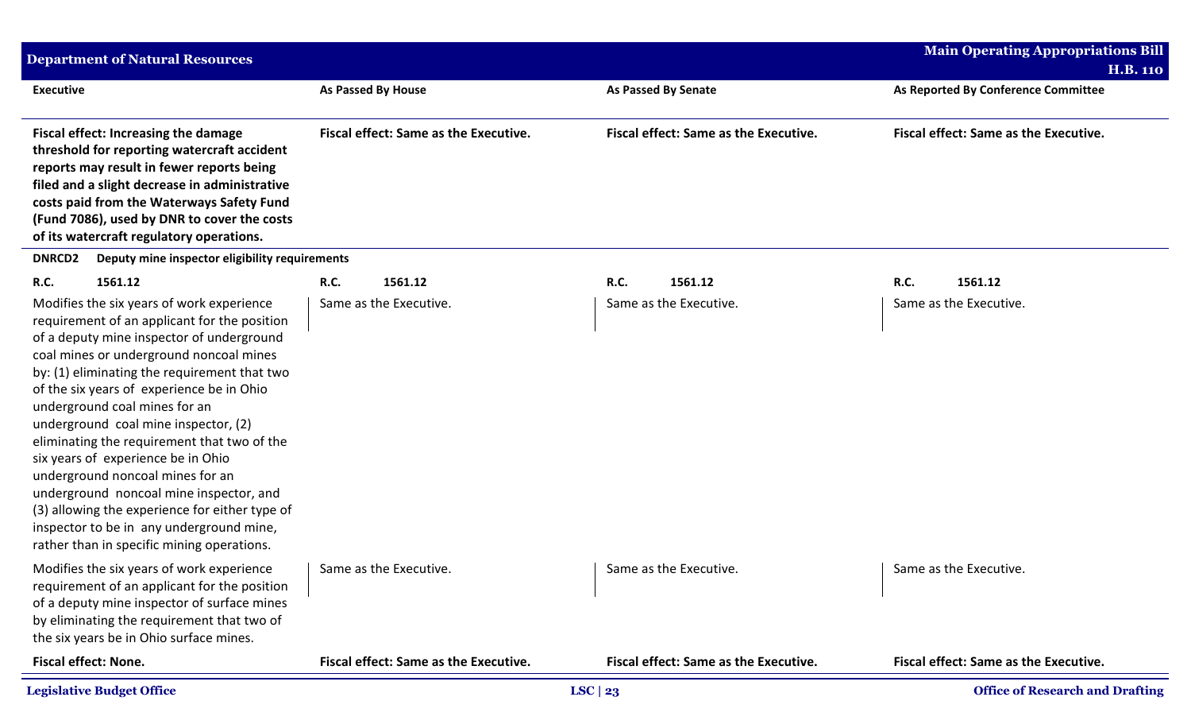| <b>Department of Natural Resources</b>                                                                                                                                                                                                                                                                                                                                                                                                                                                                                                                                                                                                                                  |                                              |                                              | <b>Main Operating Appropriations Bill</b>    |
|-------------------------------------------------------------------------------------------------------------------------------------------------------------------------------------------------------------------------------------------------------------------------------------------------------------------------------------------------------------------------------------------------------------------------------------------------------------------------------------------------------------------------------------------------------------------------------------------------------------------------------------------------------------------------|----------------------------------------------|----------------------------------------------|----------------------------------------------|
|                                                                                                                                                                                                                                                                                                                                                                                                                                                                                                                                                                                                                                                                         |                                              |                                              | <b>H.B. 110</b>                              |
| <b>Executive</b>                                                                                                                                                                                                                                                                                                                                                                                                                                                                                                                                                                                                                                                        | As Passed By House                           | <b>As Passed By Senate</b>                   | As Reported By Conference Committee          |
| Fiscal effect: Increasing the damage<br>threshold for reporting watercraft accident<br>reports may result in fewer reports being<br>filed and a slight decrease in administrative<br>costs paid from the Waterways Safety Fund<br>(Fund 7086), used by DNR to cover the costs<br>of its watercraft regulatory operations.                                                                                                                                                                                                                                                                                                                                               | <b>Fiscal effect: Same as the Executive.</b> | <b>Fiscal effect: Same as the Executive.</b> | <b>Fiscal effect: Same as the Executive.</b> |
| <b>DNRCD2</b><br>Deputy mine inspector eligibility requirements                                                                                                                                                                                                                                                                                                                                                                                                                                                                                                                                                                                                         |                                              |                                              |                                              |
| 1561.12<br><b>R.C.</b>                                                                                                                                                                                                                                                                                                                                                                                                                                                                                                                                                                                                                                                  | R.C.<br>1561.12                              | R.C.<br>1561.12                              | R.C.<br>1561.12                              |
| Modifies the six years of work experience<br>requirement of an applicant for the position<br>of a deputy mine inspector of underground<br>coal mines or underground noncoal mines<br>by: (1) eliminating the requirement that two<br>of the six years of experience be in Ohio<br>underground coal mines for an<br>underground coal mine inspector, (2)<br>eliminating the requirement that two of the<br>six years of experience be in Ohio<br>underground noncoal mines for an<br>underground noncoal mine inspector, and<br>(3) allowing the experience for either type of<br>inspector to be in any underground mine,<br>rather than in specific mining operations. | Same as the Executive.                       | Same as the Executive.                       | Same as the Executive.                       |
| Modifies the six years of work experience<br>requirement of an applicant for the position<br>of a deputy mine inspector of surface mines<br>by eliminating the requirement that two of<br>the six years be in Ohio surface mines.                                                                                                                                                                                                                                                                                                                                                                                                                                       | Same as the Executive.                       | Same as the Executive.                       | Same as the Executive.                       |
| Fiscal effect: None.                                                                                                                                                                                                                                                                                                                                                                                                                                                                                                                                                                                                                                                    | <b>Fiscal effect: Same as the Executive.</b> | <b>Fiscal effect: Same as the Executive.</b> | <b>Fiscal effect: Same as the Executive.</b> |
| <b>Legislative Budget Office</b>                                                                                                                                                                                                                                                                                                                                                                                                                                                                                                                                                                                                                                        |                                              | LSC   $23$                                   | <b>Office of Research and Drafting</b>       |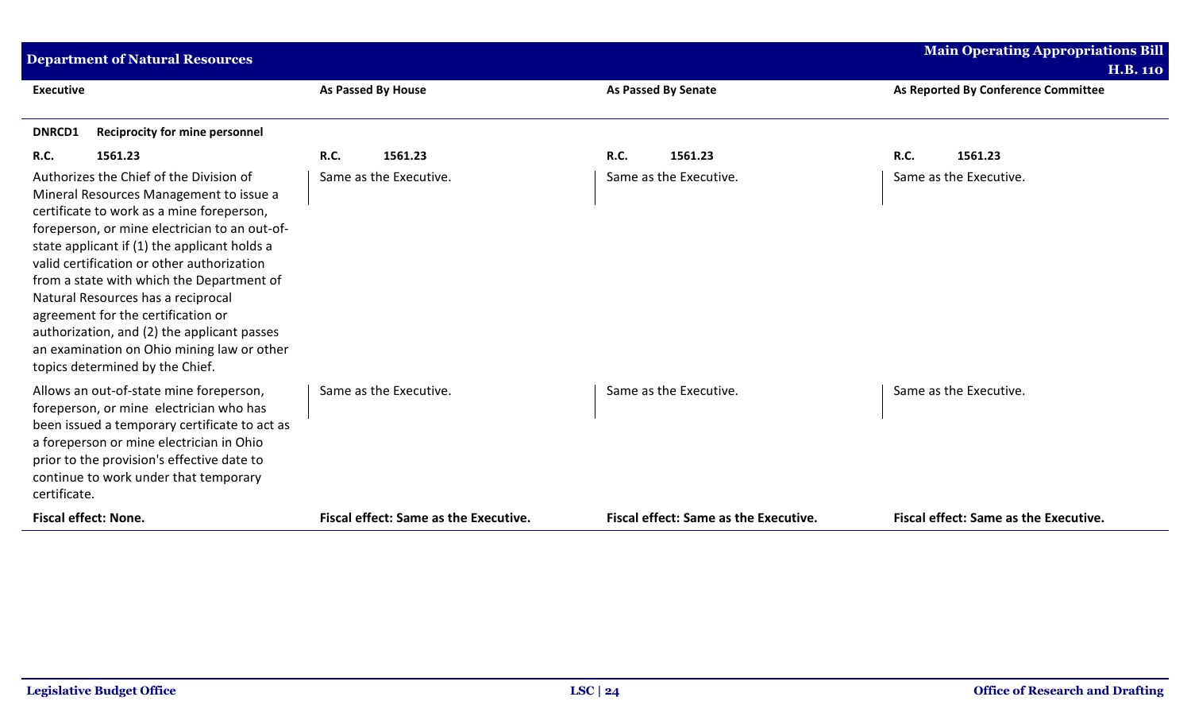| <b>Department of Natural Resources</b>                                                                                                                                                                                                                                                                                                                                                                                                                                                                                                  |                                       |                                              | <b>Main Operating Appropriations Bill</b> |
|-----------------------------------------------------------------------------------------------------------------------------------------------------------------------------------------------------------------------------------------------------------------------------------------------------------------------------------------------------------------------------------------------------------------------------------------------------------------------------------------------------------------------------------------|---------------------------------------|----------------------------------------------|-------------------------------------------|
|                                                                                                                                                                                                                                                                                                                                                                                                                                                                                                                                         |                                       |                                              | <b>H.B. 110</b>                           |
| <b>Executive</b>                                                                                                                                                                                                                                                                                                                                                                                                                                                                                                                        | <b>As Passed By House</b>             | <b>As Passed By Senate</b>                   | As Reported By Conference Committee       |
| <b>DNRCD1</b><br><b>Reciprocity for mine personnel</b>                                                                                                                                                                                                                                                                                                                                                                                                                                                                                  |                                       |                                              |                                           |
| <b>R.C.</b><br>1561.23                                                                                                                                                                                                                                                                                                                                                                                                                                                                                                                  | 1561.23<br><b>R.C.</b>                | <b>R.C.</b><br>1561.23                       | <b>R.C.</b><br>1561.23                    |
| Authorizes the Chief of the Division of<br>Mineral Resources Management to issue a<br>certificate to work as a mine foreperson,<br>foreperson, or mine electrician to an out-of-<br>state applicant if (1) the applicant holds a<br>valid certification or other authorization<br>from a state with which the Department of<br>Natural Resources has a reciprocal<br>agreement for the certification or<br>authorization, and (2) the applicant passes<br>an examination on Ohio mining law or other<br>topics determined by the Chief. | Same as the Executive.                | Same as the Executive.                       | Same as the Executive.                    |
| Allows an out-of-state mine foreperson,<br>foreperson, or mine electrician who has<br>been issued a temporary certificate to act as<br>a foreperson or mine electrician in Ohio<br>prior to the provision's effective date to<br>continue to work under that temporary<br>certificate.                                                                                                                                                                                                                                                  | Same as the Executive.                | Same as the Executive.                       | Same as the Executive.                    |
| <b>Fiscal effect: None.</b>                                                                                                                                                                                                                                                                                                                                                                                                                                                                                                             | Fiscal effect: Same as the Executive. | <b>Fiscal effect: Same as the Executive.</b> | Fiscal effect: Same as the Executive.     |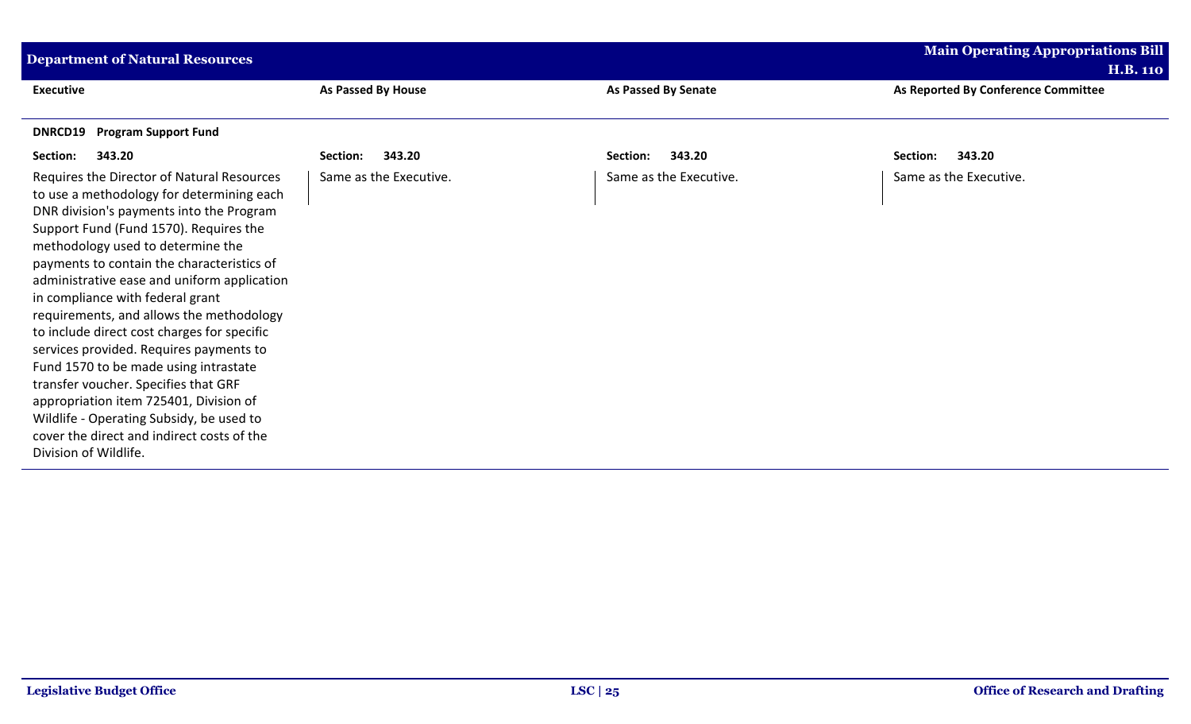| <b>Department of Natural Resources</b>                                                                                                                                                                                                                                                                                                                                                                                                                                                                                                                                                                                                                                                                                                  |                        |                            | <b>Main Operating Appropriations Bill</b>              |
|-----------------------------------------------------------------------------------------------------------------------------------------------------------------------------------------------------------------------------------------------------------------------------------------------------------------------------------------------------------------------------------------------------------------------------------------------------------------------------------------------------------------------------------------------------------------------------------------------------------------------------------------------------------------------------------------------------------------------------------------|------------------------|----------------------------|--------------------------------------------------------|
| <b>Executive</b>                                                                                                                                                                                                                                                                                                                                                                                                                                                                                                                                                                                                                                                                                                                        | As Passed By House     | <b>As Passed By Senate</b> | <b>H.B. 110</b><br>As Reported By Conference Committee |
| <b>Program Support Fund</b><br>DNRCD19                                                                                                                                                                                                                                                                                                                                                                                                                                                                                                                                                                                                                                                                                                  |                        |                            |                                                        |
| 343.20<br>Section:                                                                                                                                                                                                                                                                                                                                                                                                                                                                                                                                                                                                                                                                                                                      | 343.20<br>Section:     | 343.20<br>Section:         | 343.20<br>Section:                                     |
| Requires the Director of Natural Resources<br>to use a methodology for determining each<br>DNR division's payments into the Program<br>Support Fund (Fund 1570). Requires the<br>methodology used to determine the<br>payments to contain the characteristics of<br>administrative ease and uniform application<br>in compliance with federal grant<br>requirements, and allows the methodology<br>to include direct cost charges for specific<br>services provided. Requires payments to<br>Fund 1570 to be made using intrastate<br>transfer voucher. Specifies that GRF<br>appropriation item 725401, Division of<br>Wildlife - Operating Subsidy, be used to<br>cover the direct and indirect costs of the<br>Division of Wildlife. | Same as the Executive. | Same as the Executive.     | Same as the Executive.                                 |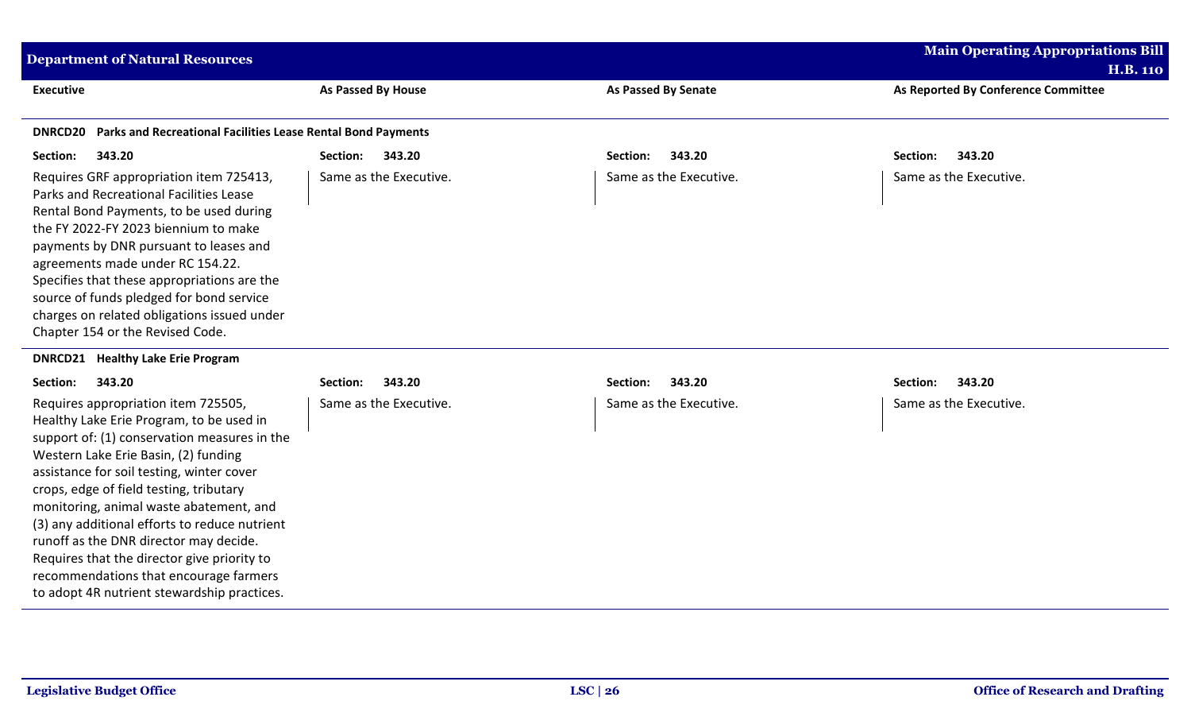| <b>Department of Natural Resources</b>                                                                                                                                                                                                                                                                                                                                                                                                                                                                                                        |                        |                            | <b>Main Operating Appropriations Bill</b>              |
|-----------------------------------------------------------------------------------------------------------------------------------------------------------------------------------------------------------------------------------------------------------------------------------------------------------------------------------------------------------------------------------------------------------------------------------------------------------------------------------------------------------------------------------------------|------------------------|----------------------------|--------------------------------------------------------|
| <b>Executive</b>                                                                                                                                                                                                                                                                                                                                                                                                                                                                                                                              | As Passed By House     | <b>As Passed By Senate</b> | <b>H.B. 110</b><br>As Reported By Conference Committee |
| Parks and Recreational Facilities Lease Rental Bond Payments<br><b>DNRCD20</b>                                                                                                                                                                                                                                                                                                                                                                                                                                                                |                        |                            |                                                        |
| 343.20<br>Section:                                                                                                                                                                                                                                                                                                                                                                                                                                                                                                                            | 343.20<br>Section:     | 343.20<br>Section:         | 343.20<br>Section:                                     |
| Requires GRF appropriation item 725413,<br>Parks and Recreational Facilities Lease<br>Rental Bond Payments, to be used during<br>the FY 2022-FY 2023 biennium to make<br>payments by DNR pursuant to leases and<br>agreements made under RC 154.22.<br>Specifies that these appropriations are the<br>source of funds pledged for bond service<br>charges on related obligations issued under<br>Chapter 154 or the Revised Code.                                                                                                             | Same as the Executive. | Same as the Executive.     | Same as the Executive.                                 |
| <b>DNRCD21 Healthy Lake Erie Program</b>                                                                                                                                                                                                                                                                                                                                                                                                                                                                                                      |                        |                            |                                                        |
| 343.20<br>Section:                                                                                                                                                                                                                                                                                                                                                                                                                                                                                                                            | 343.20<br>Section:     | 343.20<br>Section:         | 343.20<br>Section:                                     |
| Requires appropriation item 725505,<br>Healthy Lake Erie Program, to be used in<br>support of: (1) conservation measures in the<br>Western Lake Erie Basin, (2) funding<br>assistance for soil testing, winter cover<br>crops, edge of field testing, tributary<br>monitoring, animal waste abatement, and<br>(3) any additional efforts to reduce nutrient<br>runoff as the DNR director may decide.<br>Requires that the director give priority to<br>recommendations that encourage farmers<br>to adopt 4R nutrient stewardship practices. | Same as the Executive. | Same as the Executive.     | Same as the Executive.                                 |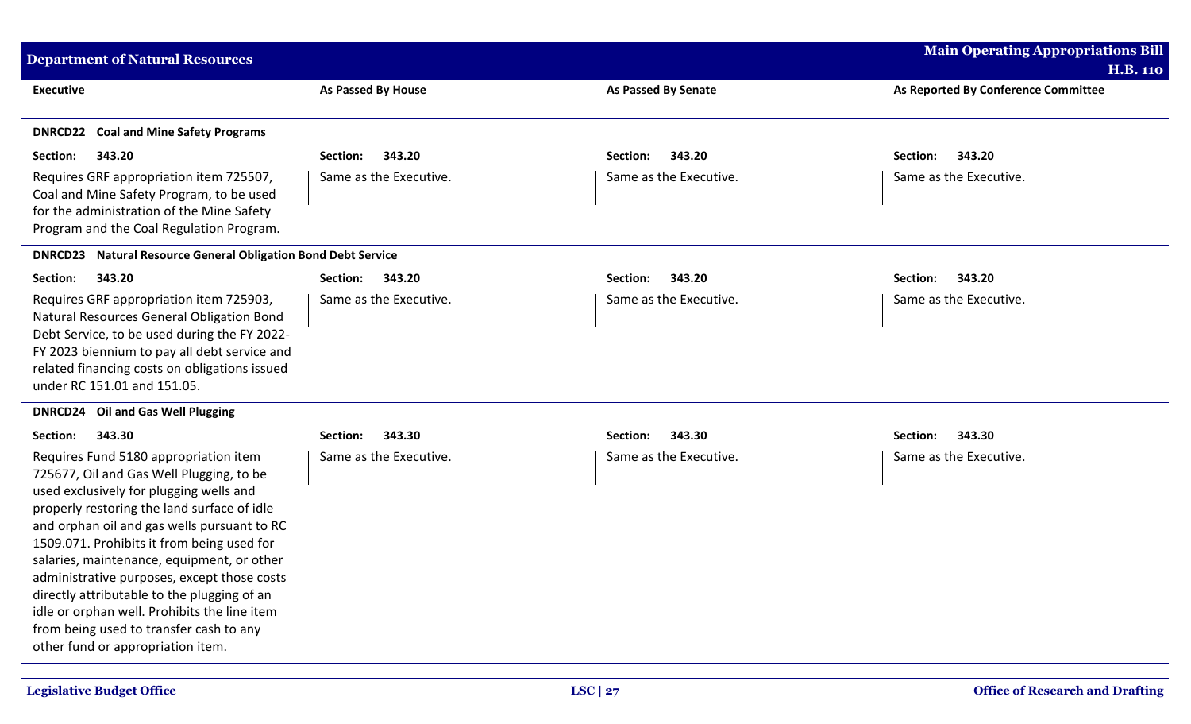| <b>Department of Natural Resources</b>                                                                                                                                                                                                                                                                                                                                                                                                                                                                                                               |                        |                            | <b>Main Operating Appropriations Bill</b><br><b>H.B. 110</b> |
|------------------------------------------------------------------------------------------------------------------------------------------------------------------------------------------------------------------------------------------------------------------------------------------------------------------------------------------------------------------------------------------------------------------------------------------------------------------------------------------------------------------------------------------------------|------------------------|----------------------------|--------------------------------------------------------------|
| <b>Executive</b>                                                                                                                                                                                                                                                                                                                                                                                                                                                                                                                                     | As Passed By House     | <b>As Passed By Senate</b> | As Reported By Conference Committee                          |
| <b>DNRCD22</b> Coal and Mine Safety Programs                                                                                                                                                                                                                                                                                                                                                                                                                                                                                                         |                        |                            |                                                              |
| 343.20<br>Section:                                                                                                                                                                                                                                                                                                                                                                                                                                                                                                                                   | 343.20<br>Section:     | 343.20<br>Section:         | Section:<br>343.20                                           |
| Requires GRF appropriation item 725507,<br>Coal and Mine Safety Program, to be used<br>for the administration of the Mine Safety<br>Program and the Coal Regulation Program.                                                                                                                                                                                                                                                                                                                                                                         | Same as the Executive. | Same as the Executive.     | Same as the Executive.                                       |
| <b>DNRCD23</b> Natural Resource General Obligation Bond Debt Service                                                                                                                                                                                                                                                                                                                                                                                                                                                                                 |                        |                            |                                                              |
| Section:<br>343.20                                                                                                                                                                                                                                                                                                                                                                                                                                                                                                                                   | 343.20<br>Section:     | 343.20<br>Section:         | 343.20<br>Section:                                           |
| Requires GRF appropriation item 725903,<br>Natural Resources General Obligation Bond<br>Debt Service, to be used during the FY 2022-<br>FY 2023 biennium to pay all debt service and<br>related financing costs on obligations issued<br>under RC 151.01 and 151.05.                                                                                                                                                                                                                                                                                 | Same as the Executive. | Same as the Executive.     | Same as the Executive.                                       |
| <b>DNRCD24</b><br><b>Oil and Gas Well Plugging</b>                                                                                                                                                                                                                                                                                                                                                                                                                                                                                                   |                        |                            |                                                              |
| 343.30<br>Section:                                                                                                                                                                                                                                                                                                                                                                                                                                                                                                                                   | 343.30<br>Section:     | 343.30<br>Section:         | 343.30<br>Section:                                           |
| Requires Fund 5180 appropriation item<br>725677, Oil and Gas Well Plugging, to be<br>used exclusively for plugging wells and<br>properly restoring the land surface of idle<br>and orphan oil and gas wells pursuant to RC<br>1509.071. Prohibits it from being used for<br>salaries, maintenance, equipment, or other<br>administrative purposes, except those costs<br>directly attributable to the plugging of an<br>idle or orphan well. Prohibits the line item<br>from being used to transfer cash to any<br>other fund or appropriation item. | Same as the Executive. | Same as the Executive.     | Same as the Executive.                                       |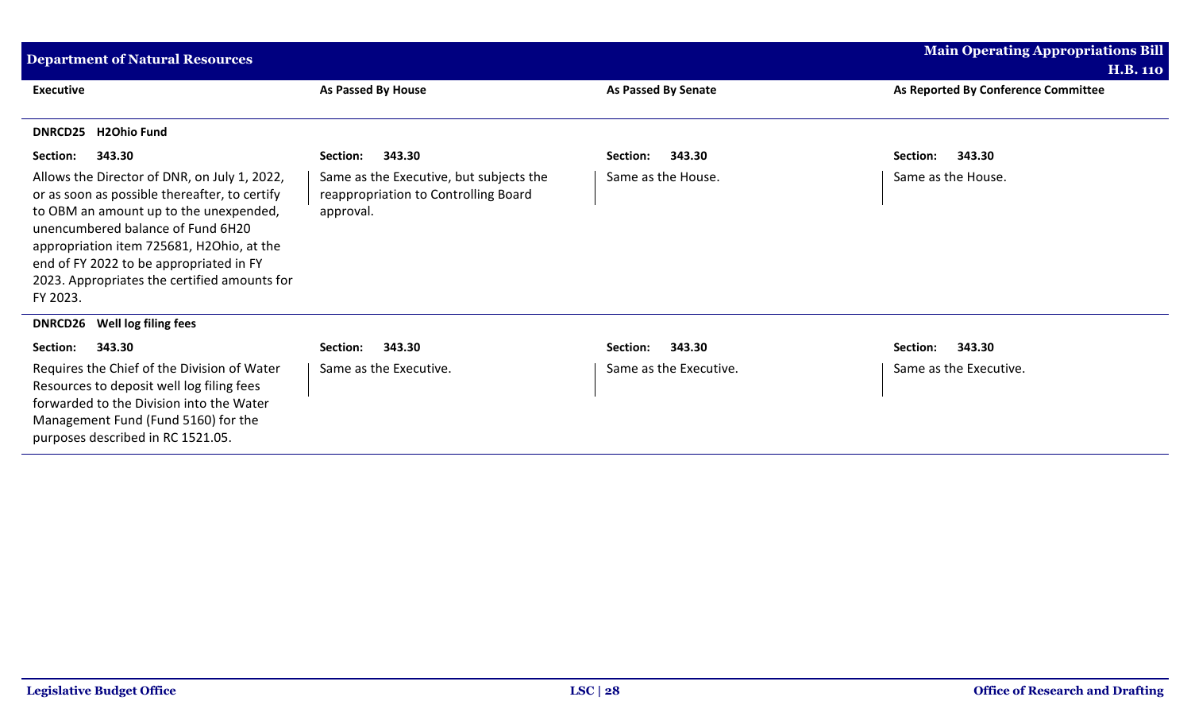| <b>Department of Natural Resources</b>                                                                                                                                                                                                                                                                                           |                                                                                              |                        | <b>Main Operating Appropriations Bill</b>              |
|----------------------------------------------------------------------------------------------------------------------------------------------------------------------------------------------------------------------------------------------------------------------------------------------------------------------------------|----------------------------------------------------------------------------------------------|------------------------|--------------------------------------------------------|
| <b>Executive</b>                                                                                                                                                                                                                                                                                                                 | As Passed By House                                                                           | As Passed By Senate    | <b>H.B. 110</b><br>As Reported By Conference Committee |
| <b>H2Ohio Fund</b><br><b>DNRCD25</b>                                                                                                                                                                                                                                                                                             |                                                                                              |                        |                                                        |
| 343.30<br>Section:                                                                                                                                                                                                                                                                                                               | 343.30<br>Section:                                                                           | 343.30<br>Section:     | Section:<br>343.30                                     |
| Allows the Director of DNR, on July 1, 2022,<br>or as soon as possible thereafter, to certify<br>to OBM an amount up to the unexpended,<br>unencumbered balance of Fund 6H20<br>appropriation item 725681, H2Ohio, at the<br>end of FY 2022 to be appropriated in FY<br>2023. Appropriates the certified amounts for<br>FY 2023. | Same as the Executive, but subjects the<br>reappropriation to Controlling Board<br>approval. | Same as the House.     | Same as the House.                                     |
| Well log filing fees<br><b>DNRCD26</b>                                                                                                                                                                                                                                                                                           |                                                                                              |                        |                                                        |
| 343.30<br>Section:                                                                                                                                                                                                                                                                                                               | 343.30<br>Section:                                                                           | 343.30<br>Section:     | 343.30<br>Section:                                     |
| Requires the Chief of the Division of Water<br>Resources to deposit well log filing fees<br>forwarded to the Division into the Water<br>Management Fund (Fund 5160) for the<br>purposes described in RC 1521.05.                                                                                                                 | Same as the Executive.                                                                       | Same as the Executive. | Same as the Executive.                                 |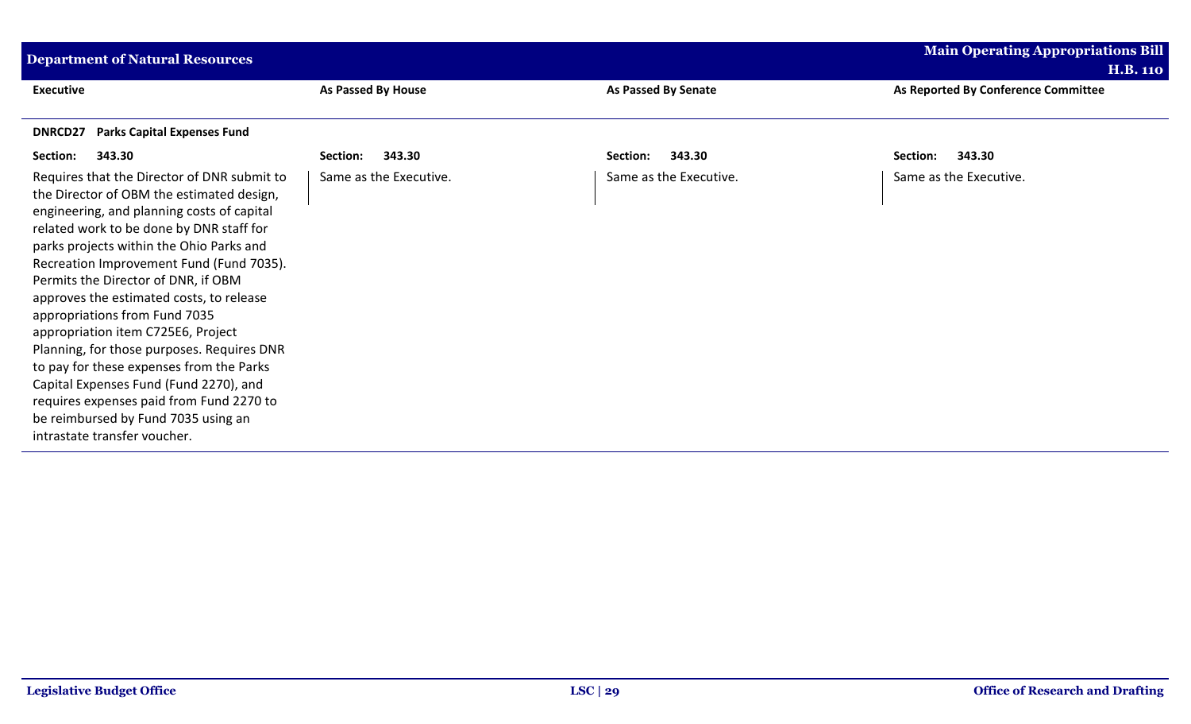| <b>Department of Natural Resources</b>                                                                                                                                                                                                                                                                                                                                                                                                                                                                                                                                                                                                                                                      |                        |                            | <b>Main Operating Appropriations Bill</b>              |
|---------------------------------------------------------------------------------------------------------------------------------------------------------------------------------------------------------------------------------------------------------------------------------------------------------------------------------------------------------------------------------------------------------------------------------------------------------------------------------------------------------------------------------------------------------------------------------------------------------------------------------------------------------------------------------------------|------------------------|----------------------------|--------------------------------------------------------|
| <b>Executive</b>                                                                                                                                                                                                                                                                                                                                                                                                                                                                                                                                                                                                                                                                            | As Passed By House     | <b>As Passed By Senate</b> | <b>H.B. 110</b><br>As Reported By Conference Committee |
| <b>Parks Capital Expenses Fund</b><br>DNRCD27                                                                                                                                                                                                                                                                                                                                                                                                                                                                                                                                                                                                                                               |                        |                            |                                                        |
| Section:<br>343.30                                                                                                                                                                                                                                                                                                                                                                                                                                                                                                                                                                                                                                                                          | 343.30<br>Section:     | 343.30<br>Section:         | Section:<br>343.30                                     |
| Requires that the Director of DNR submit to<br>the Director of OBM the estimated design,<br>engineering, and planning costs of capital<br>related work to be done by DNR staff for<br>parks projects within the Ohio Parks and<br>Recreation Improvement Fund (Fund 7035).<br>Permits the Director of DNR, if OBM<br>approves the estimated costs, to release<br>appropriations from Fund 7035<br>appropriation item C725E6, Project<br>Planning, for those purposes. Requires DNR<br>to pay for these expenses from the Parks<br>Capital Expenses Fund (Fund 2270), and<br>requires expenses paid from Fund 2270 to<br>be reimbursed by Fund 7035 using an<br>intrastate transfer voucher. | Same as the Executive. | Same as the Executive.     | Same as the Executive.                                 |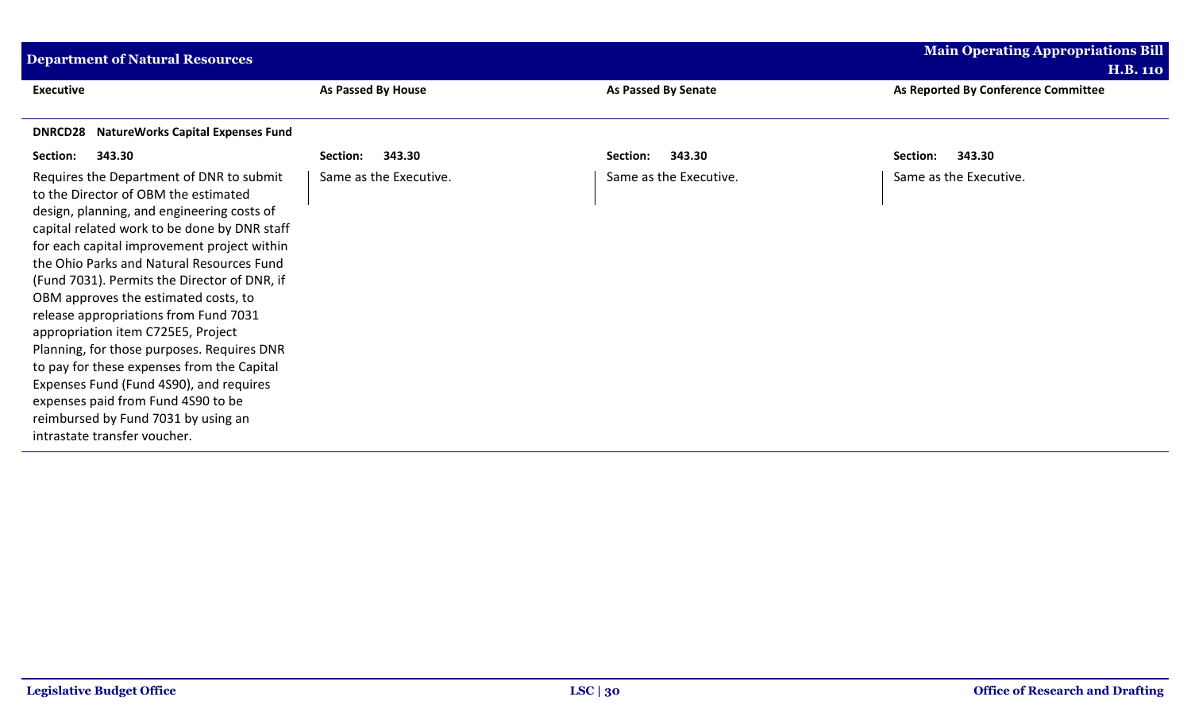| <b>Department of Natural Resources</b>                                                                                                                                                                                                                                                                                                                                                                                                                                                                                                                                                                                                                                                                |                        |                            | <b>Main Operating Appropriations Bill</b>              |
|-------------------------------------------------------------------------------------------------------------------------------------------------------------------------------------------------------------------------------------------------------------------------------------------------------------------------------------------------------------------------------------------------------------------------------------------------------------------------------------------------------------------------------------------------------------------------------------------------------------------------------------------------------------------------------------------------------|------------------------|----------------------------|--------------------------------------------------------|
| <b>Executive</b>                                                                                                                                                                                                                                                                                                                                                                                                                                                                                                                                                                                                                                                                                      | As Passed By House     | <b>As Passed By Senate</b> | <b>H.B. 110</b><br>As Reported By Conference Committee |
| <b>NatureWorks Capital Expenses Fund</b><br><b>DNRCD28</b>                                                                                                                                                                                                                                                                                                                                                                                                                                                                                                                                                                                                                                            |                        |                            |                                                        |
| Section:<br>343.30                                                                                                                                                                                                                                                                                                                                                                                                                                                                                                                                                                                                                                                                                    | 343.30<br>Section:     | 343.30<br>Section:         | Section:<br>343.30                                     |
| Requires the Department of DNR to submit<br>to the Director of OBM the estimated<br>design, planning, and engineering costs of<br>capital related work to be done by DNR staff<br>for each capital improvement project within<br>the Ohio Parks and Natural Resources Fund<br>(Fund 7031). Permits the Director of DNR, if<br>OBM approves the estimated costs, to<br>release appropriations from Fund 7031<br>appropriation item C725E5, Project<br>Planning, for those purposes. Requires DNR<br>to pay for these expenses from the Capital<br>Expenses Fund (Fund 4S90), and requires<br>expenses paid from Fund 4S90 to be<br>reimbursed by Fund 7031 by using an<br>intrastate transfer voucher. | Same as the Executive. | Same as the Executive.     | Same as the Executive.                                 |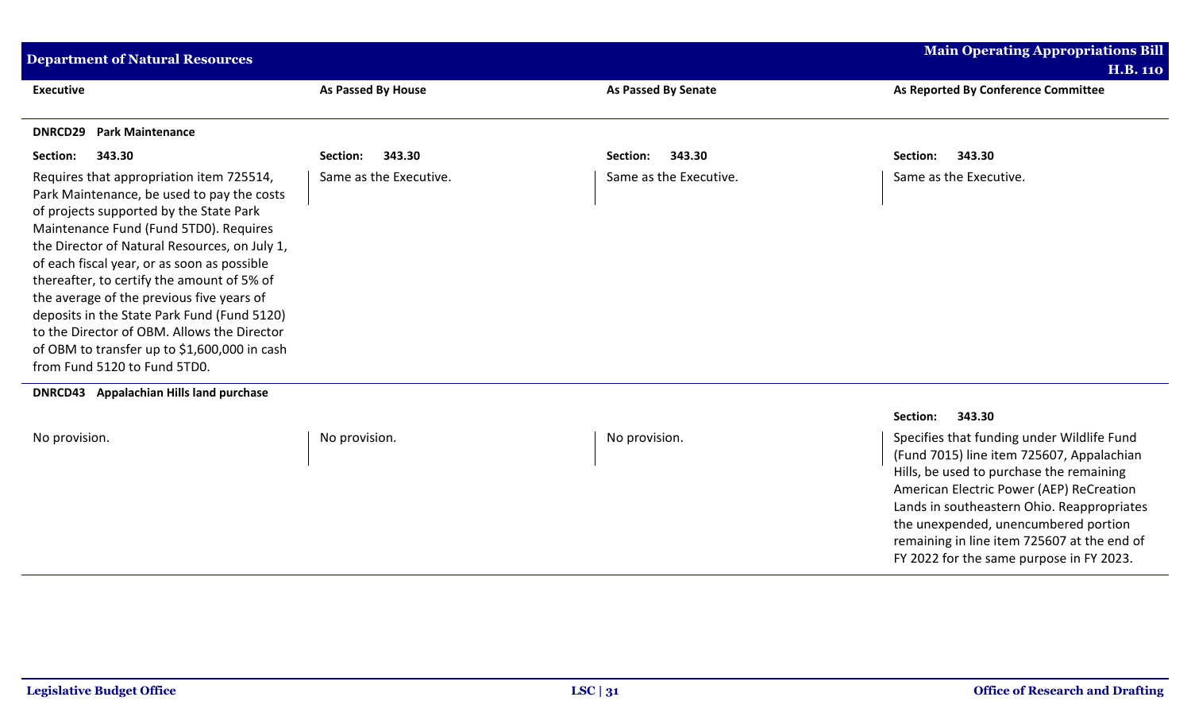| <b>Department of Natural Resources</b>                                                                                                                                                                                                                                                                                                                                                                                                                                                                                                               |                        |                        | <b>Main Operating Appropriations Bill</b> |
|------------------------------------------------------------------------------------------------------------------------------------------------------------------------------------------------------------------------------------------------------------------------------------------------------------------------------------------------------------------------------------------------------------------------------------------------------------------------------------------------------------------------------------------------------|------------------------|------------------------|-------------------------------------------|
|                                                                                                                                                                                                                                                                                                                                                                                                                                                                                                                                                      |                        |                        | <b>H.B. 110</b>                           |
| <b>Executive</b>                                                                                                                                                                                                                                                                                                                                                                                                                                                                                                                                     | As Passed By House     | As Passed By Senate    | As Reported By Conference Committee       |
|                                                                                                                                                                                                                                                                                                                                                                                                                                                                                                                                                      |                        |                        |                                           |
| <b>Park Maintenance</b><br>DNRCD29                                                                                                                                                                                                                                                                                                                                                                                                                                                                                                                   |                        |                        |                                           |
| 343.30<br>Section:                                                                                                                                                                                                                                                                                                                                                                                                                                                                                                                                   | 343.30<br>Section:     | 343.30<br>Section:     | 343.30<br>Section:                        |
| Requires that appropriation item 725514,<br>Park Maintenance, be used to pay the costs<br>of projects supported by the State Park<br>Maintenance Fund (Fund 5TD0). Requires<br>the Director of Natural Resources, on July 1,<br>of each fiscal year, or as soon as possible<br>thereafter, to certify the amount of 5% of<br>the average of the previous five years of<br>deposits in the State Park Fund (Fund 5120)<br>to the Director of OBM. Allows the Director<br>of OBM to transfer up to \$1,600,000 in cash<br>from Fund 5120 to Fund 5TD0. | Same as the Executive. | Same as the Executive. | Same as the Executive.                    |
|                                                                                                                                                                                                                                                                                                                                                                                                                                                                                                                                                      |                        |                        |                                           |

**DNRCD43 Appalachian Hills land purchase**

|               |               |               | 343.30<br>Section:                                                                                                                                                                                                                                                                                                                                               |
|---------------|---------------|---------------|------------------------------------------------------------------------------------------------------------------------------------------------------------------------------------------------------------------------------------------------------------------------------------------------------------------------------------------------------------------|
| No provision. | No provision. | No provision. | Specifies that funding under Wildlife Fund<br>(Fund 7015) line item 725607, Appalachian<br>Hills, be used to purchase the remaining<br>American Electric Power (AEP) ReCreation<br>Lands in southeastern Ohio. Reappropriates<br>the unexpended, unencumbered portion<br>remaining in line item 725607 at the end of<br>FY 2022 for the same purpose in FY 2023. |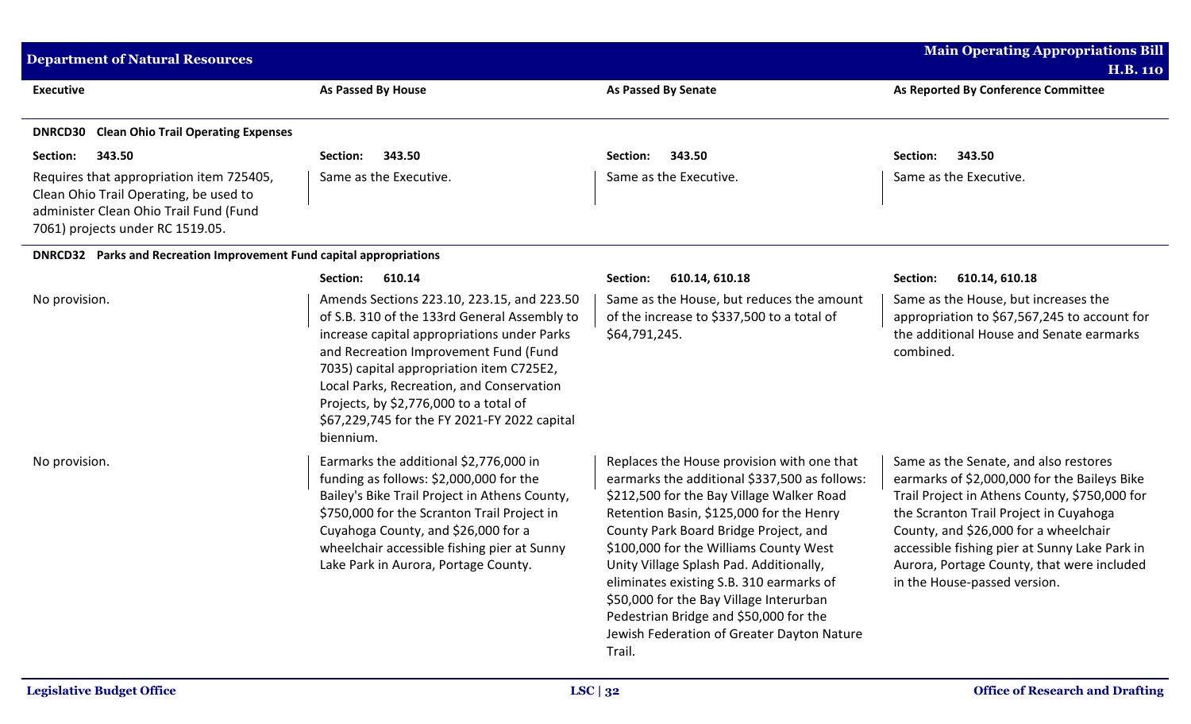| <b>Department of Natural Resources</b>                                                                                                                           |                                                                                                                                                                                                                                                                                                                                                                                    |                                                                                                                                                                                                                                                                                                                                                                                                                                                                                                             | <b>Main Operating Appropriations Bill</b><br><b>H.B. 110</b>                                                                                                                                                                                                                                                                                             |
|------------------------------------------------------------------------------------------------------------------------------------------------------------------|------------------------------------------------------------------------------------------------------------------------------------------------------------------------------------------------------------------------------------------------------------------------------------------------------------------------------------------------------------------------------------|-------------------------------------------------------------------------------------------------------------------------------------------------------------------------------------------------------------------------------------------------------------------------------------------------------------------------------------------------------------------------------------------------------------------------------------------------------------------------------------------------------------|----------------------------------------------------------------------------------------------------------------------------------------------------------------------------------------------------------------------------------------------------------------------------------------------------------------------------------------------------------|
| <b>Executive</b>                                                                                                                                                 | As Passed By House                                                                                                                                                                                                                                                                                                                                                                 | <b>As Passed By Senate</b>                                                                                                                                                                                                                                                                                                                                                                                                                                                                                  | As Reported By Conference Committee                                                                                                                                                                                                                                                                                                                      |
| <b>DNRCD30 Clean Ohio Trail Operating Expenses</b>                                                                                                               |                                                                                                                                                                                                                                                                                                                                                                                    |                                                                                                                                                                                                                                                                                                                                                                                                                                                                                                             |                                                                                                                                                                                                                                                                                                                                                          |
| Section:<br>343.50                                                                                                                                               | 343.50<br>Section:                                                                                                                                                                                                                                                                                                                                                                 | 343.50<br>Section:                                                                                                                                                                                                                                                                                                                                                                                                                                                                                          | Section:<br>343.50                                                                                                                                                                                                                                                                                                                                       |
| Requires that appropriation item 725405,<br>Clean Ohio Trail Operating, be used to<br>administer Clean Ohio Trail Fund (Fund<br>7061) projects under RC 1519.05. | Same as the Executive.                                                                                                                                                                                                                                                                                                                                                             | Same as the Executive.                                                                                                                                                                                                                                                                                                                                                                                                                                                                                      | Same as the Executive.                                                                                                                                                                                                                                                                                                                                   |
| <b>DNRCD32</b> Parks and Recreation Improvement Fund capital appropriations                                                                                      |                                                                                                                                                                                                                                                                                                                                                                                    |                                                                                                                                                                                                                                                                                                                                                                                                                                                                                                             |                                                                                                                                                                                                                                                                                                                                                          |
|                                                                                                                                                                  | 610.14<br>Section:                                                                                                                                                                                                                                                                                                                                                                 | 610.14, 610.18<br>Section:                                                                                                                                                                                                                                                                                                                                                                                                                                                                                  | Section:<br>610.14, 610.18                                                                                                                                                                                                                                                                                                                               |
| No provision.                                                                                                                                                    | Amends Sections 223.10, 223.15, and 223.50<br>of S.B. 310 of the 133rd General Assembly to<br>increase capital appropriations under Parks<br>and Recreation Improvement Fund (Fund<br>7035) capital appropriation item C725E2,<br>Local Parks, Recreation, and Conservation<br>Projects, by \$2,776,000 to a total of<br>\$67,229,745 for the FY 2021-FY 2022 capital<br>biennium. | Same as the House, but reduces the amount<br>of the increase to \$337,500 to a total of<br>\$64,791,245.                                                                                                                                                                                                                                                                                                                                                                                                    | Same as the House, but increases the<br>appropriation to \$67,567,245 to account for<br>the additional House and Senate earmarks<br>combined.                                                                                                                                                                                                            |
| No provision.                                                                                                                                                    | Earmarks the additional \$2,776,000 in<br>funding as follows: \$2,000,000 for the<br>Bailey's Bike Trail Project in Athens County,<br>\$750,000 for the Scranton Trail Project in<br>Cuyahoga County, and \$26,000 for a<br>wheelchair accessible fishing pier at Sunny<br>Lake Park in Aurora, Portage County.                                                                    | Replaces the House provision with one that<br>earmarks the additional \$337,500 as follows:<br>\$212,500 for the Bay Village Walker Road<br>Retention Basin, \$125,000 for the Henry<br>County Park Board Bridge Project, and<br>\$100,000 for the Williams County West<br>Unity Village Splash Pad. Additionally,<br>eliminates existing S.B. 310 earmarks of<br>\$50,000 for the Bay Village Interurban<br>Pedestrian Bridge and \$50,000 for the<br>Jewish Federation of Greater Dayton Nature<br>Trail. | Same as the Senate, and also restores<br>earmarks of \$2,000,000 for the Baileys Bike<br>Trail Project in Athens County, \$750,000 for<br>the Scranton Trail Project in Cuyahoga<br>County, and \$26,000 for a wheelchair<br>accessible fishing pier at Sunny Lake Park in<br>Aurora, Portage County, that were included<br>in the House-passed version. |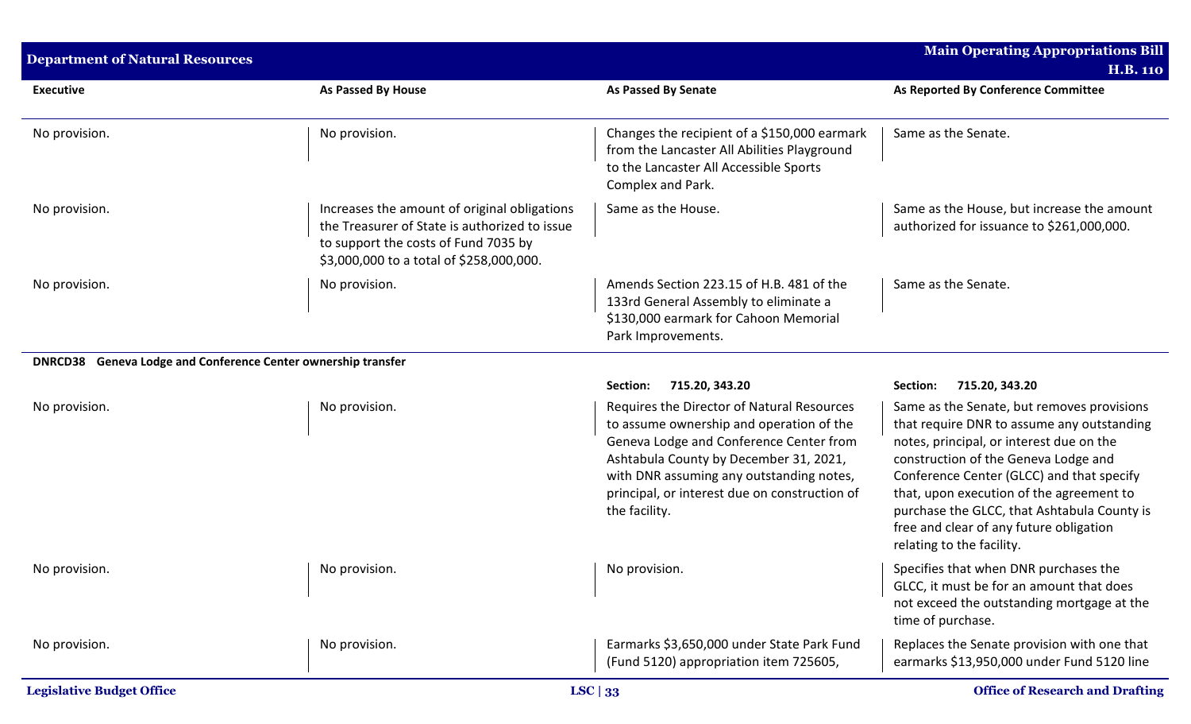| <b>Department of Natural Resources</b>                        |                                                                                                                                                                                   |                                                                                                                                                                                                                                                                                           | <b>Main Operating Appropriations Bill</b><br><b>H.B. 110</b>                                                                                                                                                                                                                                                                                                                                 |
|---------------------------------------------------------------|-----------------------------------------------------------------------------------------------------------------------------------------------------------------------------------|-------------------------------------------------------------------------------------------------------------------------------------------------------------------------------------------------------------------------------------------------------------------------------------------|----------------------------------------------------------------------------------------------------------------------------------------------------------------------------------------------------------------------------------------------------------------------------------------------------------------------------------------------------------------------------------------------|
| <b>Executive</b>                                              | <b>As Passed By House</b>                                                                                                                                                         | <b>As Passed By Senate</b>                                                                                                                                                                                                                                                                | As Reported By Conference Committee                                                                                                                                                                                                                                                                                                                                                          |
| No provision.                                                 | No provision.                                                                                                                                                                     | Changes the recipient of a \$150,000 earmark<br>from the Lancaster All Abilities Playground<br>to the Lancaster All Accessible Sports<br>Complex and Park.                                                                                                                                | Same as the Senate.                                                                                                                                                                                                                                                                                                                                                                          |
| No provision.                                                 | Increases the amount of original obligations<br>the Treasurer of State is authorized to issue<br>to support the costs of Fund 7035 by<br>\$3,000,000 to a total of \$258,000,000. | Same as the House.                                                                                                                                                                                                                                                                        | Same as the House, but increase the amount<br>authorized for issuance to \$261,000,000.                                                                                                                                                                                                                                                                                                      |
| No provision.                                                 | No provision.                                                                                                                                                                     | Amends Section 223.15 of H.B. 481 of the<br>133rd General Assembly to eliminate a<br>\$130,000 earmark for Cahoon Memorial<br>Park Improvements.                                                                                                                                          | Same as the Senate.                                                                                                                                                                                                                                                                                                                                                                          |
| DNRCD38 Geneva Lodge and Conference Center ownership transfer |                                                                                                                                                                                   |                                                                                                                                                                                                                                                                                           |                                                                                                                                                                                                                                                                                                                                                                                              |
|                                                               |                                                                                                                                                                                   | 715.20, 343.20<br>Section:                                                                                                                                                                                                                                                                | 715.20, 343.20<br>Section:                                                                                                                                                                                                                                                                                                                                                                   |
| No provision.                                                 | No provision.                                                                                                                                                                     | Requires the Director of Natural Resources<br>to assume ownership and operation of the<br>Geneva Lodge and Conference Center from<br>Ashtabula County by December 31, 2021,<br>with DNR assuming any outstanding notes,<br>principal, or interest due on construction of<br>the facility. | Same as the Senate, but removes provisions<br>that require DNR to assume any outstanding<br>notes, principal, or interest due on the<br>construction of the Geneva Lodge and<br>Conference Center (GLCC) and that specify<br>that, upon execution of the agreement to<br>purchase the GLCC, that Ashtabula County is<br>free and clear of any future obligation<br>relating to the facility. |
| No provision.                                                 | No provision.                                                                                                                                                                     | No provision.                                                                                                                                                                                                                                                                             | Specifies that when DNR purchases the<br>GLCC, it must be for an amount that does<br>not exceed the outstanding mortgage at the<br>time of purchase.                                                                                                                                                                                                                                         |
| No provision.                                                 | No provision.                                                                                                                                                                     | Earmarks \$3,650,000 under State Park Fund<br>(Fund 5120) appropriation item 725605,                                                                                                                                                                                                      | Replaces the Senate provision with one that<br>earmarks \$13,950,000 under Fund 5120 line                                                                                                                                                                                                                                                                                                    |
| <b>Legislative Budget Office</b>                              |                                                                                                                                                                                   | LSC $ 33$                                                                                                                                                                                                                                                                                 | <b>Office of Research and Drafting</b>                                                                                                                                                                                                                                                                                                                                                       |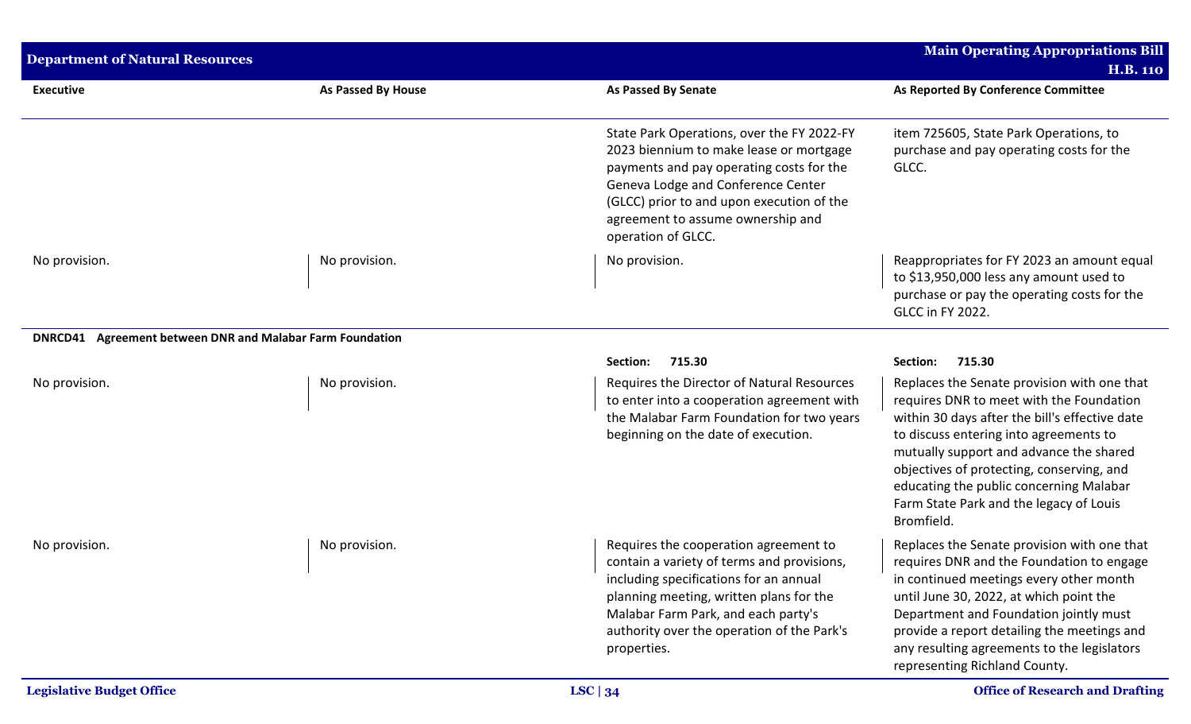| <b>Department of Natural Resources</b>                    |                    |                                                                                                                                                                                                                                                                                 | <b>Main Operating Appropriations Bill</b>                                                                                                                                                                                                                                                                                                                                       |
|-----------------------------------------------------------|--------------------|---------------------------------------------------------------------------------------------------------------------------------------------------------------------------------------------------------------------------------------------------------------------------------|---------------------------------------------------------------------------------------------------------------------------------------------------------------------------------------------------------------------------------------------------------------------------------------------------------------------------------------------------------------------------------|
|                                                           |                    |                                                                                                                                                                                                                                                                                 | <b>H.B. 110</b>                                                                                                                                                                                                                                                                                                                                                                 |
| <b>Executive</b>                                          | As Passed By House | <b>As Passed By Senate</b>                                                                                                                                                                                                                                                      | As Reported By Conference Committee                                                                                                                                                                                                                                                                                                                                             |
|                                                           |                    | State Park Operations, over the FY 2022-FY<br>2023 biennium to make lease or mortgage<br>payments and pay operating costs for the<br>Geneva Lodge and Conference Center<br>(GLCC) prior to and upon execution of the<br>agreement to assume ownership and<br>operation of GLCC. | item 725605, State Park Operations, to<br>purchase and pay operating costs for the<br>GLCC.                                                                                                                                                                                                                                                                                     |
| No provision.                                             | No provision.      | No provision.                                                                                                                                                                                                                                                                   | Reappropriates for FY 2023 an amount equal<br>to \$13,950,000 less any amount used to<br>purchase or pay the operating costs for the<br><b>GLCC in FY 2022.</b>                                                                                                                                                                                                                 |
| DNRCD41 Agreement between DNR and Malabar Farm Foundation |                    |                                                                                                                                                                                                                                                                                 |                                                                                                                                                                                                                                                                                                                                                                                 |
|                                                           |                    | 715.30<br>Section:                                                                                                                                                                                                                                                              | Section:<br>715.30                                                                                                                                                                                                                                                                                                                                                              |
| No provision.                                             | No provision.      | Requires the Director of Natural Resources<br>to enter into a cooperation agreement with<br>the Malabar Farm Foundation for two years<br>beginning on the date of execution.                                                                                                    | Replaces the Senate provision with one that<br>requires DNR to meet with the Foundation<br>within 30 days after the bill's effective date<br>to discuss entering into agreements to<br>mutually support and advance the shared<br>objectives of protecting, conserving, and<br>educating the public concerning Malabar<br>Farm State Park and the legacy of Louis<br>Bromfield. |
| No provision.                                             | No provision.      | Requires the cooperation agreement to<br>contain a variety of terms and provisions,<br>including specifications for an annual<br>planning meeting, written plans for the<br>Malabar Farm Park, and each party's<br>authority over the operation of the Park's<br>properties.    | Replaces the Senate provision with one that<br>requires DNR and the Foundation to engage<br>in continued meetings every other month<br>until June 30, 2022, at which point the<br>Department and Foundation jointly must<br>provide a report detailing the meetings and<br>any resulting agreements to the legislators<br>representing Richland County.                         |
| <b>Legislative Budget Office</b>                          |                    | LSC $ 34$                                                                                                                                                                                                                                                                       | <b>Office of Research and Drafting</b>                                                                                                                                                                                                                                                                                                                                          |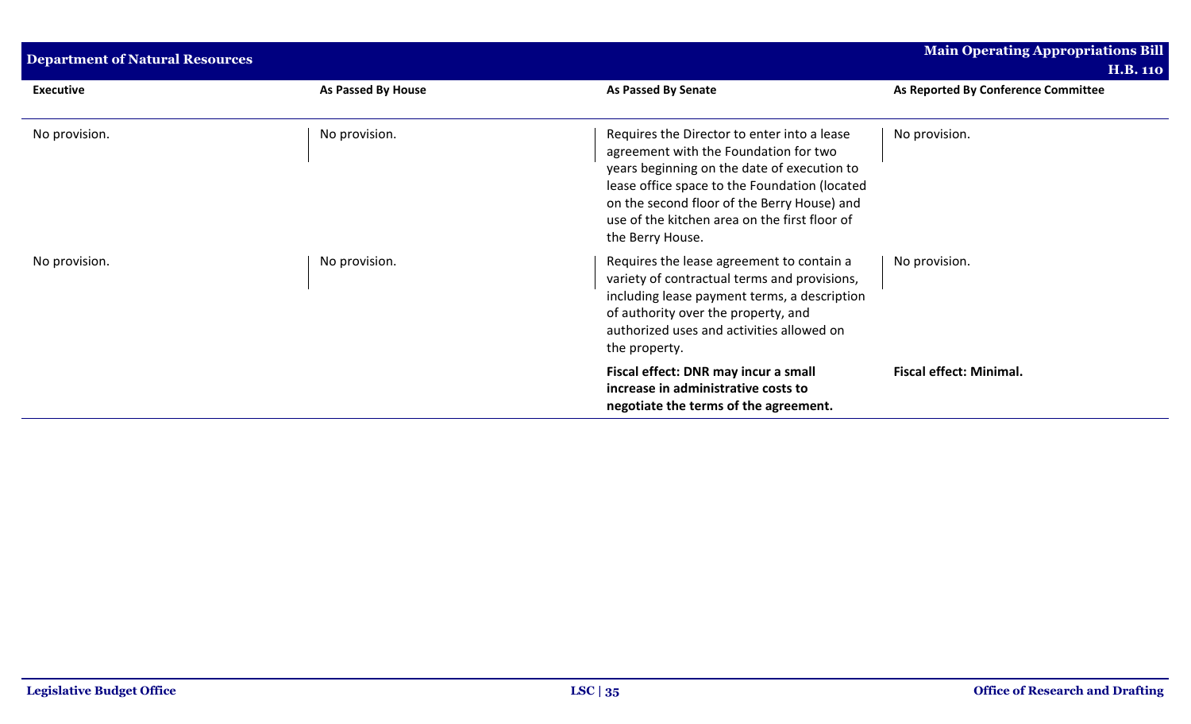| <b>Department of Natural Resources</b> |                    |                                                                                                                                                                                                                                                                                                          | <b>Main Operating Appropriations Bill</b><br><b>H.B. 110</b> |
|----------------------------------------|--------------------|----------------------------------------------------------------------------------------------------------------------------------------------------------------------------------------------------------------------------------------------------------------------------------------------------------|--------------------------------------------------------------|
| <b>Executive</b>                       | As Passed By House | As Passed By Senate                                                                                                                                                                                                                                                                                      | As Reported By Conference Committee                          |
| No provision.                          | No provision.      | Requires the Director to enter into a lease<br>agreement with the Foundation for two<br>years beginning on the date of execution to<br>lease office space to the Foundation (located<br>on the second floor of the Berry House) and<br>use of the kitchen area on the first floor of<br>the Berry House. | No provision.                                                |
| No provision.                          | No provision.      | Requires the lease agreement to contain a<br>variety of contractual terms and provisions,<br>including lease payment terms, a description<br>of authority over the property, and<br>authorized uses and activities allowed on<br>the property.                                                           | No provision.                                                |
|                                        |                    | Fiscal effect: DNR may incur a small<br>increase in administrative costs to<br>negotiate the terms of the agreement.                                                                                                                                                                                     | <b>Fiscal effect: Minimal.</b>                               |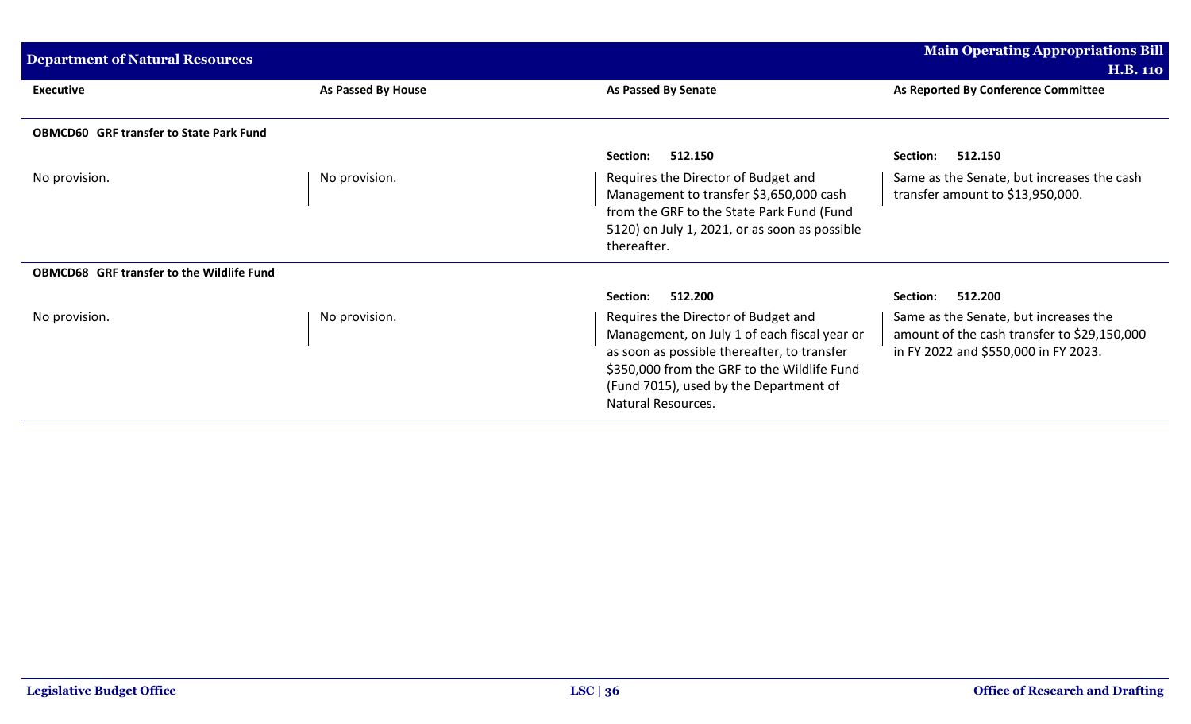| <b>Department of Natural Resources</b>           | <b>Main Operating Appropriations Bill</b> |                                                                                                                                                                                                                                                          |                                                                                                                              |
|--------------------------------------------------|-------------------------------------------|----------------------------------------------------------------------------------------------------------------------------------------------------------------------------------------------------------------------------------------------------------|------------------------------------------------------------------------------------------------------------------------------|
|                                                  |                                           |                                                                                                                                                                                                                                                          | <b>H.B. 110</b>                                                                                                              |
| <b>Executive</b>                                 | As Passed By House                        | As Passed By Senate                                                                                                                                                                                                                                      | As Reported By Conference Committee                                                                                          |
|                                                  |                                           |                                                                                                                                                                                                                                                          |                                                                                                                              |
| <b>OBMCD60 GRF transfer to State Park Fund</b>   |                                           |                                                                                                                                                                                                                                                          |                                                                                                                              |
|                                                  |                                           | 512.150<br>Section:                                                                                                                                                                                                                                      | 512.150<br>Section:                                                                                                          |
| No provision.                                    | No provision.                             | Requires the Director of Budget and<br>Management to transfer \$3,650,000 cash<br>from the GRF to the State Park Fund (Fund<br>5120) on July 1, 2021, or as soon as possible<br>thereafter.                                                              | Same as the Senate, but increases the cash<br>transfer amount to \$13,950,000.                                               |
| <b>OBMCD68 GRF transfer to the Wildlife Fund</b> |                                           |                                                                                                                                                                                                                                                          |                                                                                                                              |
|                                                  |                                           | 512.200<br>Section:                                                                                                                                                                                                                                      | 512.200<br>Section:                                                                                                          |
| No provision.                                    | No provision.                             | Requires the Director of Budget and<br>Management, on July 1 of each fiscal year or<br>as soon as possible thereafter, to transfer<br>\$350,000 from the GRF to the Wildlife Fund<br>(Fund 7015), used by the Department of<br><b>Natural Resources.</b> | Same as the Senate, but increases the<br>amount of the cash transfer to \$29,150,000<br>in FY 2022 and \$550,000 in FY 2023. |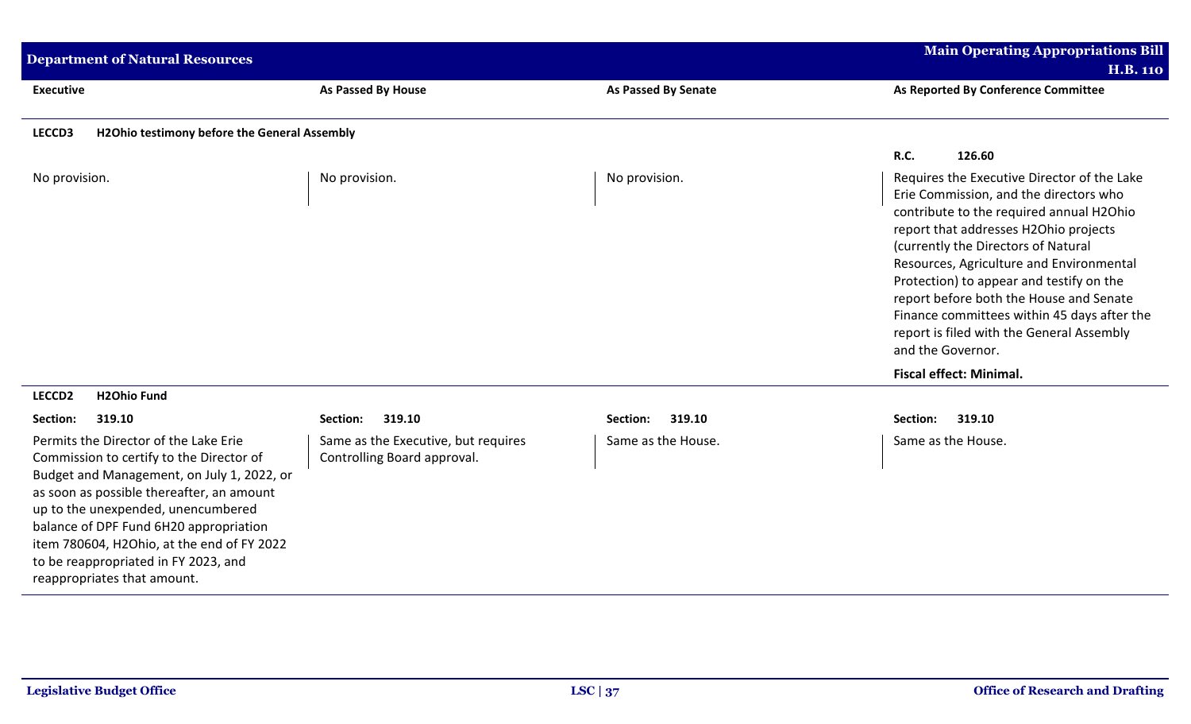| <b>Department of Natural Resources</b>                                                                                                                                                                                                                                                                                                                                            | <b>Main Operating Appropriations Bill</b><br><b>H.B. 110</b>       |                            |                                                                                                                                                                                                                                                                                                                                                                                                                                                                       |
|-----------------------------------------------------------------------------------------------------------------------------------------------------------------------------------------------------------------------------------------------------------------------------------------------------------------------------------------------------------------------------------|--------------------------------------------------------------------|----------------------------|-----------------------------------------------------------------------------------------------------------------------------------------------------------------------------------------------------------------------------------------------------------------------------------------------------------------------------------------------------------------------------------------------------------------------------------------------------------------------|
| <b>Executive</b>                                                                                                                                                                                                                                                                                                                                                                  | <b>As Passed By House</b>                                          | <b>As Passed By Senate</b> | As Reported By Conference Committee                                                                                                                                                                                                                                                                                                                                                                                                                                   |
| LECCD3<br>H2Ohio testimony before the General Assembly                                                                                                                                                                                                                                                                                                                            |                                                                    |                            |                                                                                                                                                                                                                                                                                                                                                                                                                                                                       |
|                                                                                                                                                                                                                                                                                                                                                                                   |                                                                    |                            | R.C.<br>126.60                                                                                                                                                                                                                                                                                                                                                                                                                                                        |
| No provision.                                                                                                                                                                                                                                                                                                                                                                     | No provision.                                                      | No provision.              | Requires the Executive Director of the Lake<br>Erie Commission, and the directors who<br>contribute to the required annual H2Ohio<br>report that addresses H2Ohio projects<br>(currently the Directors of Natural<br>Resources, Agriculture and Environmental<br>Protection) to appear and testify on the<br>report before both the House and Senate<br>Finance committees within 45 days after the<br>report is filed with the General Assembly<br>and the Governor. |
|                                                                                                                                                                                                                                                                                                                                                                                   |                                                                    |                            | <b>Fiscal effect: Minimal.</b>                                                                                                                                                                                                                                                                                                                                                                                                                                        |
| <b>H2Ohio Fund</b><br>LECCD <sub>2</sub>                                                                                                                                                                                                                                                                                                                                          |                                                                    |                            |                                                                                                                                                                                                                                                                                                                                                                                                                                                                       |
| Section:<br>319.10                                                                                                                                                                                                                                                                                                                                                                | 319.10<br>Section:                                                 | 319.10<br>Section:         | Section:<br>319.10                                                                                                                                                                                                                                                                                                                                                                                                                                                    |
| Permits the Director of the Lake Erie<br>Commission to certify to the Director of<br>Budget and Management, on July 1, 2022, or<br>as soon as possible thereafter, an amount<br>up to the unexpended, unencumbered<br>balance of DPF Fund 6H20 appropriation<br>item 780604, H2Ohio, at the end of FY 2022<br>to be reappropriated in FY 2023, and<br>reappropriates that amount. | Same as the Executive, but requires<br>Controlling Board approval. | Same as the House.         | Same as the House.                                                                                                                                                                                                                                                                                                                                                                                                                                                    |